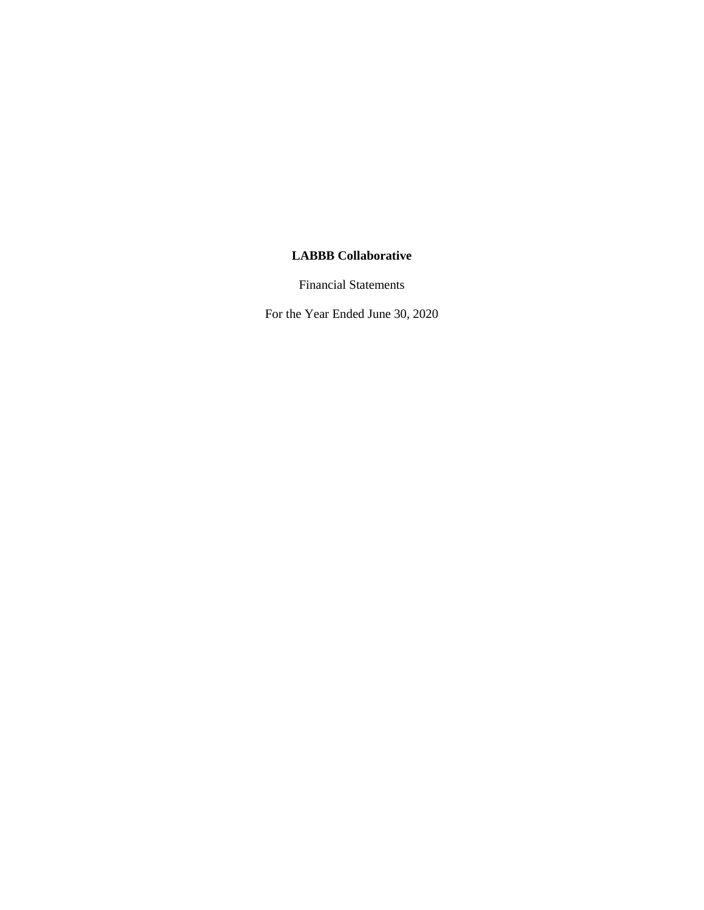Financial Statements

For the Year Ended June 30, 2020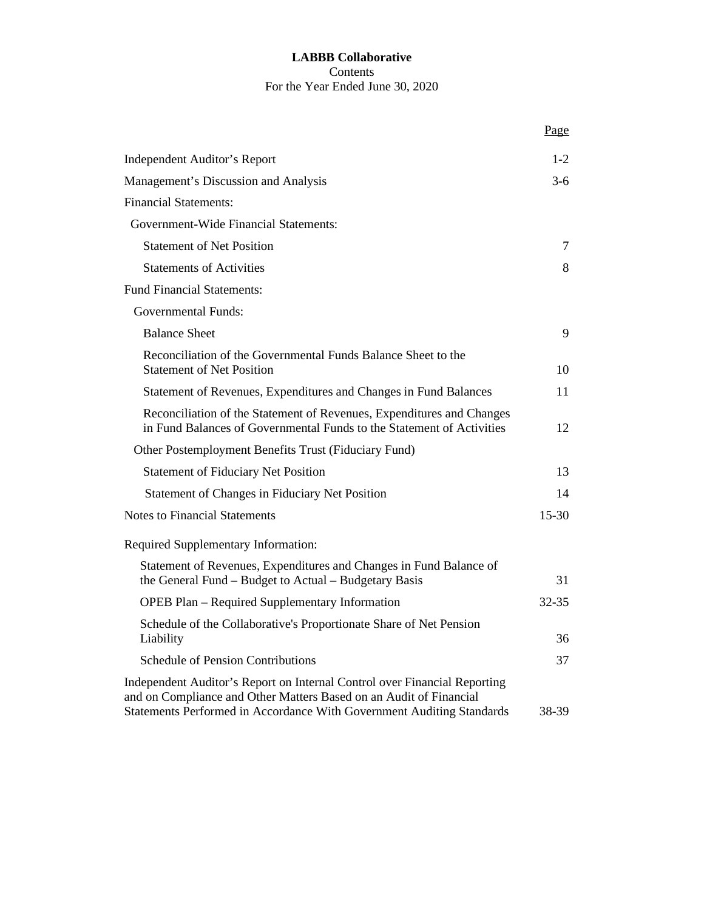# **LABBB Collaborative** Contents For the Year Ended June 30, 2020

|                                                                                                                                                                                                                          | Page      |
|--------------------------------------------------------------------------------------------------------------------------------------------------------------------------------------------------------------------------|-----------|
| <b>Independent Auditor's Report</b>                                                                                                                                                                                      | $1 - 2$   |
| Management's Discussion and Analysis                                                                                                                                                                                     | $3-6$     |
| <b>Financial Statements:</b>                                                                                                                                                                                             |           |
| Government-Wide Financial Statements:                                                                                                                                                                                    |           |
| <b>Statement of Net Position</b>                                                                                                                                                                                         | 7         |
| <b>Statements of Activities</b>                                                                                                                                                                                          | 8         |
| <b>Fund Financial Statements:</b>                                                                                                                                                                                        |           |
| <b>Governmental Funds:</b>                                                                                                                                                                                               |           |
| <b>Balance Sheet</b>                                                                                                                                                                                                     | 9         |
| Reconciliation of the Governmental Funds Balance Sheet to the<br><b>Statement of Net Position</b>                                                                                                                        | 10        |
| Statement of Revenues, Expenditures and Changes in Fund Balances                                                                                                                                                         | 11        |
| Reconciliation of the Statement of Revenues, Expenditures and Changes<br>in Fund Balances of Governmental Funds to the Statement of Activities                                                                           | 12        |
| Other Postemployment Benefits Trust (Fiduciary Fund)                                                                                                                                                                     |           |
| <b>Statement of Fiduciary Net Position</b>                                                                                                                                                                               | 13        |
| Statement of Changes in Fiduciary Net Position                                                                                                                                                                           | 14        |
| <b>Notes to Financial Statements</b>                                                                                                                                                                                     | $15 - 30$ |
| Required Supplementary Information:                                                                                                                                                                                      |           |
| Statement of Revenues, Expenditures and Changes in Fund Balance of<br>the General Fund - Budget to Actual - Budgetary Basis                                                                                              | 31        |
| <b>OPEB Plan - Required Supplementary Information</b>                                                                                                                                                                    | 32-35     |
| Schedule of the Collaborative's Proportionate Share of Net Pension<br>Liability                                                                                                                                          | 36        |
| <b>Schedule of Pension Contributions</b>                                                                                                                                                                                 | 37        |
| Independent Auditor's Report on Internal Control over Financial Reporting<br>and on Compliance and Other Matters Based on an Audit of Financial<br>Statements Performed in Accordance With Government Auditing Standards | 38-39     |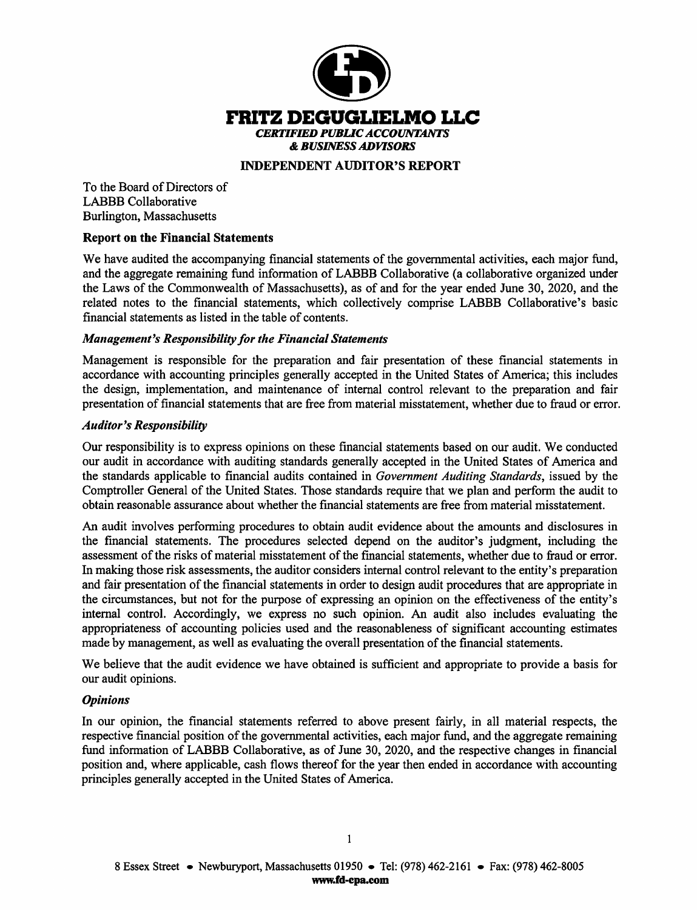

### **INDEPENDENT AUDITOR'S REPORT**

To the Board of Directors of **LABBB** Collaborative Burlington, Massachusetts

#### **Report on the Financial Statements**

We have audited the accompanying financial statements of the governmental activities, each major fund, and the aggregate remaining fund information of LABBB Collaborative (a collaborative organized under the Laws of the Commonwealth of Massachusetts), as of and for the year ended June 30, 2020, and the related notes to the financial statements, which collectively comprise LABBB Collaborative's basic financial statements as listed in the table of contents.

#### **Management's Responsibility for the Financial Statements**

Management is responsible for the preparation and fair presentation of these financial statements in accordance with accounting principles generally accepted in the United States of America; this includes the design, implementation, and maintenance of internal control relevant to the preparation and fair presentation of financial statements that are free from material misstatement, whether due to fraud or error.

#### **Auditor's Responsibility**

Our responsibility is to express opinions on these financial statements based on our audit. We conducted our audit in accordance with auditing standards generally accepted in the United States of America and the standards applicable to financial audits contained in Government Auditing Standards, issued by the Comptroller General of the United States. Those standards require that we plan and perform the audit to obtain reasonable assurance about whether the financial statements are free from material misstatement.

An audit involves performing procedures to obtain audit evidence about the amounts and disclosures in the financial statements. The procedures selected depend on the auditor's judgment, including the assessment of the risks of material misstatement of the financial statements, whether due to fraud or error. In making those risk assessments, the auditor considers internal control relevant to the entity's preparation and fair presentation of the financial statements in order to design audit procedures that are appropriate in the circumstances, but not for the purpose of expressing an opinion on the effectiveness of the entity's internal control. Accordingly, we express no such opinion. An audit also includes evaluating the appropriateness of accounting policies used and the reasonableness of significant accounting estimates made by management, as well as evaluating the overall presentation of the financial statements.

We believe that the audit evidence we have obtained is sufficient and appropriate to provide a basis for our audit opinions.

#### **Opinions**

In our opinion, the financial statements referred to above present fairly, in all material respects, the respective financial position of the governmental activities, each major fund, and the aggregate remaining fund information of LABBB Collaborative, as of June 30, 2020, and the respective changes in financial position and, where applicable, cash flows thereof for the year then ended in accordance with accounting principles generally accepted in the United States of America.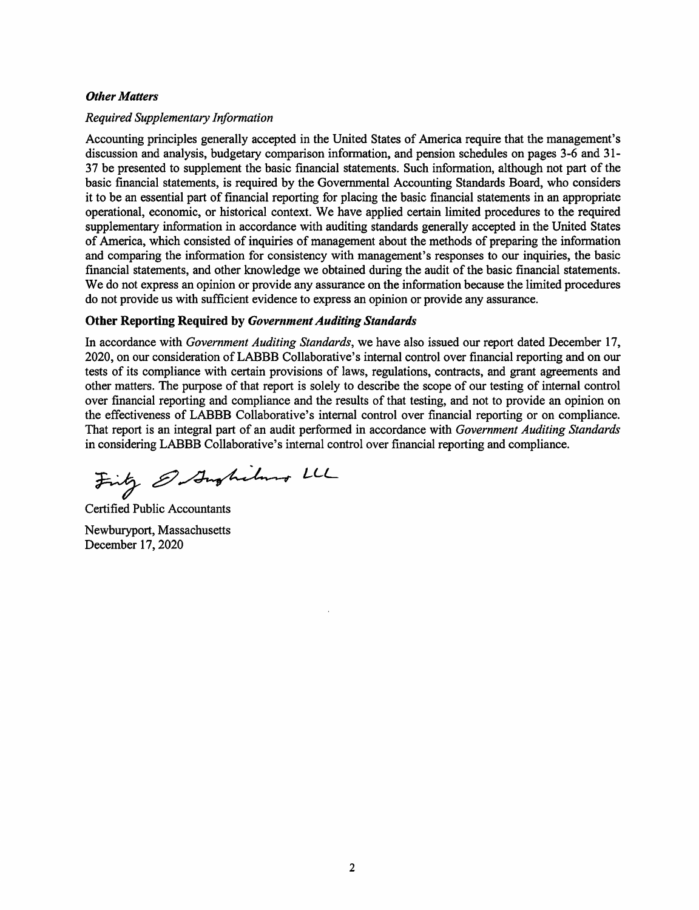#### **Other Matters**

#### **Required Supplementary Information**

Accounting principles generally accepted in the United States of America require that the management's discussion and analysis, budgetary comparison information, and pension schedules on pages 3-6 and 31-37 be presented to supplement the basic financial statements. Such information, although not part of the basic financial statements, is required by the Governmental Accounting Standards Board, who considers it to be an essential part of financial reporting for placing the basic financial statements in an appropriate operational, economic, or historical context. We have applied certain limited procedures to the required supplementary information in accordance with auditing standards generally accepted in the United States of America, which consisted of inquiries of management about the methods of preparing the information and comparing the information for consistency with management's responses to our inquiries, the basic financial statements, and other knowledge we obtained during the audit of the basic financial statements. We do not express an opinion or provide any assurance on the information because the limited procedures do not provide us with sufficient evidence to express an opinion or provide any assurance.

#### **Other Reporting Required by Government Auditing Standards**

In accordance with Government Auditing Standards, we have also issued our report dated December 17, 2020, on our consideration of LABBB Collaborative's internal control over financial reporting and on our tests of its compliance with certain provisions of laws, regulations, contracts, and grant agreements and other matters. The purpose of that report is solely to describe the scope of our testing of internal control over financial reporting and compliance and the results of that testing, and not to provide an opinion on the effectiveness of LABBB Collaborative's internal control over financial reporting or on compliance. That report is an integral part of an audit performed in accordance with Government Auditing Standards in considering LABBB Collaborative's internal control over financial reporting and compliance.

Firty & Aughiland LL

**Certified Public Accountants** Newburyport, Massachusetts December 17, 2020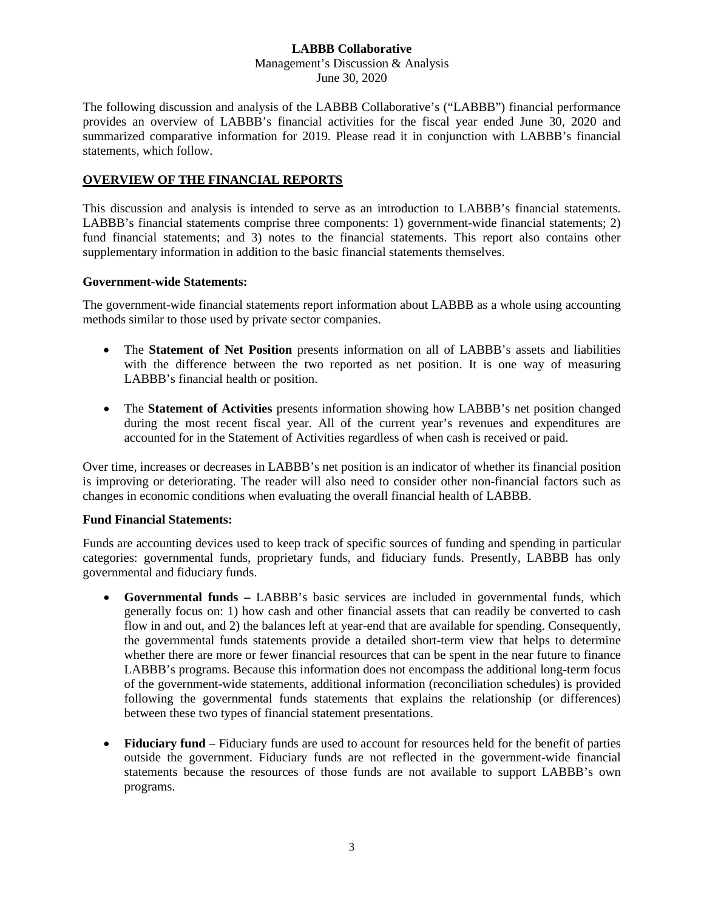#### **LABBB Collaborative** Management's Discussion & Analysis June 30, 2020

The following discussion and analysis of the LABBB Collaborative's ("LABBB") financial performance provides an overview of LABBB's financial activities for the fiscal year ended June 30, 2020 and summarized comparative information for 2019. Please read it in conjunction with LABBB's financial statements, which follow.

# **OVERVIEW OF THE FINANCIAL REPORTS**

This discussion and analysis is intended to serve as an introduction to LABBB's financial statements. LABBB's financial statements comprise three components: 1) government-wide financial statements; 2) fund financial statements; and 3) notes to the financial statements. This report also contains other supplementary information in addition to the basic financial statements themselves.

### **Government-wide Statements:**

The government-wide financial statements report information about LABBB as a whole using accounting methods similar to those used by private sector companies.

- The **Statement of Net Position** presents information on all of LABBB's assets and liabilities with the difference between the two reported as net position. It is one way of measuring LABBB's financial health or position.
- The **Statement of Activities** presents information showing how LABBB's net position changed during the most recent fiscal year. All of the current year's revenues and expenditures are accounted for in the Statement of Activities regardless of when cash is received or paid.

Over time, increases or decreases in LABBB's net position is an indicator of whether its financial position is improving or deteriorating. The reader will also need to consider other non-financial factors such as changes in economic conditions when evaluating the overall financial health of LABBB.

### **Fund Financial Statements:**

Funds are accounting devices used to keep track of specific sources of funding and spending in particular categories: governmental funds, proprietary funds, and fiduciary funds. Presently, LABBB has only governmental and fiduciary funds.

- **Governmental funds –** LABBB's basic services are included in governmental funds, which generally focus on: 1) how cash and other financial assets that can readily be converted to cash flow in and out, and 2) the balances left at year-end that are available for spending. Consequently, the governmental funds statements provide a detailed short-term view that helps to determine whether there are more or fewer financial resources that can be spent in the near future to finance LABBB's programs. Because this information does not encompass the additional long-term focus of the government-wide statements, additional information (reconciliation schedules) is provided following the governmental funds statements that explains the relationship (or differences) between these two types of financial statement presentations.
- **Fiduciary fund** Fiduciary funds are used to account for resources held for the benefit of parties outside the government. Fiduciary funds are not reflected in the government-wide financial statements because the resources of those funds are not available to support LABBB's own programs.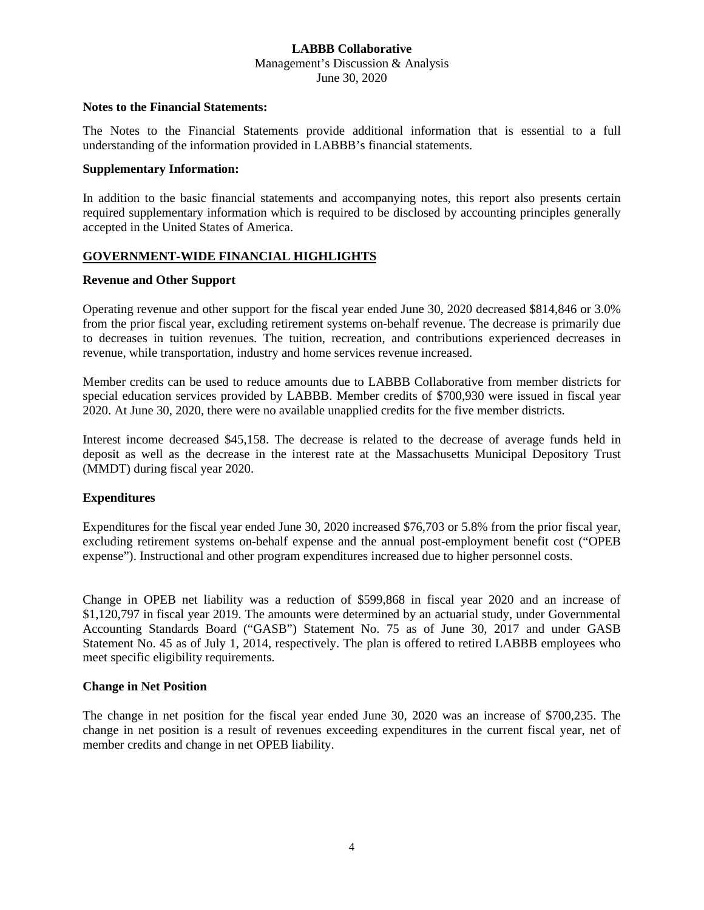Management's Discussion & Analysis June 30, 2020

#### **Notes to the Financial Statements:**

The Notes to the Financial Statements provide additional information that is essential to a full understanding of the information provided in LABBB's financial statements.

#### **Supplementary Information:**

In addition to the basic financial statements and accompanying notes, this report also presents certain required supplementary information which is required to be disclosed by accounting principles generally accepted in the United States of America.

## **GOVERNMENT-WIDE FINANCIAL HIGHLIGHTS**

#### **Revenue and Other Support**

Operating revenue and other support for the fiscal year ended June 30, 2020 decreased \$814,846 or 3.0% from the prior fiscal year, excluding retirement systems on-behalf revenue. The decrease is primarily due to decreases in tuition revenues. The tuition, recreation, and contributions experienced decreases in revenue, while transportation, industry and home services revenue increased.

Member credits can be used to reduce amounts due to LABBB Collaborative from member districts for special education services provided by LABBB. Member credits of \$700,930 were issued in fiscal year 2020. At June 30, 2020, there were no available unapplied credits for the five member districts.

Interest income decreased \$45,158. The decrease is related to the decrease of average funds held in deposit as well as the decrease in the interest rate at the Massachusetts Municipal Depository Trust (MMDT) during fiscal year 2020.

### **Expenditures**

Expenditures for the fiscal year ended June 30, 2020 increased \$76,703 or 5.8% from the prior fiscal year, excluding retirement systems on-behalf expense and the annual post-employment benefit cost ("OPEB expense"). Instructional and other program expenditures increased due to higher personnel costs.

Change in OPEB net liability was a reduction of \$599,868 in fiscal year 2020 and an increase of \$1,120,797 in fiscal year 2019. The amounts were determined by an actuarial study, under Governmental Accounting Standards Board ("GASB") Statement No. 75 as of June 30, 2017 and under GASB Statement No. 45 as of July 1, 2014, respectively. The plan is offered to retired LABBB employees who meet specific eligibility requirements.

#### **Change in Net Position**

The change in net position for the fiscal year ended June 30, 2020 was an increase of \$700,235. The change in net position is a result of revenues exceeding expenditures in the current fiscal year, net of member credits and change in net OPEB liability.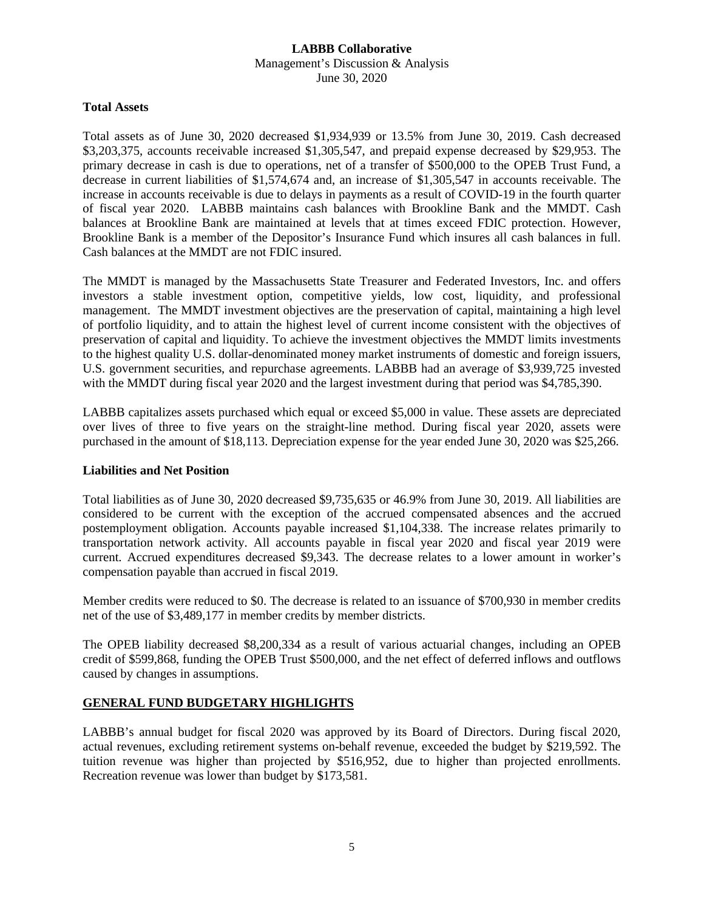### **LABBB Collaborative** Management's Discussion & Analysis June 30, 2020

#### **Total Assets**

Total assets as of June 30, 2020 decreased \$1,934,939 or 13.5% from June 30, 2019. Cash decreased \$3,203,375, accounts receivable increased \$1,305,547, and prepaid expense decreased by \$29,953. The primary decrease in cash is due to operations, net of a transfer of \$500,000 to the OPEB Trust Fund, a decrease in current liabilities of \$1,574,674 and, an increase of \$1,305,547 in accounts receivable. The increase in accounts receivable is due to delays in payments as a result of COVID-19 in the fourth quarter of fiscal year 2020. LABBB maintains cash balances with Brookline Bank and the MMDT. Cash balances at Brookline Bank are maintained at levels that at times exceed FDIC protection. However, Brookline Bank is a member of the Depositor's Insurance Fund which insures all cash balances in full. Cash balances at the MMDT are not FDIC insured.

The MMDT is managed by the Massachusetts State Treasurer and Federated Investors, Inc. and offers investors a stable investment option, competitive yields, low cost, liquidity, and professional management. The MMDT investment objectives are the preservation of capital, maintaining a high level of portfolio liquidity, and to attain the highest level of current income consistent with the objectives of preservation of capital and liquidity. To achieve the investment objectives the MMDT limits investments to the highest quality U.S. dollar-denominated money market instruments of domestic and foreign issuers, U.S. government securities, and repurchase agreements. LABBB had an average of \$3,939,725 invested with the MMDT during fiscal year 2020 and the largest investment during that period was \$4,785,390.

LABBB capitalizes assets purchased which equal or exceed \$5,000 in value. These assets are depreciated over lives of three to five years on the straight-line method. During fiscal year 2020, assets were purchased in the amount of \$18,113. Depreciation expense for the year ended June 30, 2020 was \$25,266.

### **Liabilities and Net Position**

Total liabilities as of June 30, 2020 decreased \$9,735,635 or 46.9% from June 30, 2019. All liabilities are considered to be current with the exception of the accrued compensated absences and the accrued postemployment obligation. Accounts payable increased \$1,104,338. The increase relates primarily to transportation network activity. All accounts payable in fiscal year 2020 and fiscal year 2019 were current. Accrued expenditures decreased \$9,343. The decrease relates to a lower amount in worker's compensation payable than accrued in fiscal 2019.

Member credits were reduced to \$0. The decrease is related to an issuance of \$700,930 in member credits net of the use of \$3,489,177 in member credits by member districts.

The OPEB liability decreased \$8,200,334 as a result of various actuarial changes, including an OPEB credit of \$599,868, funding the OPEB Trust \$500,000, and the net effect of deferred inflows and outflows caused by changes in assumptions.

### **GENERAL FUND BUDGETARY HIGHLIGHTS**

LABBB's annual budget for fiscal 2020 was approved by its Board of Directors. During fiscal 2020, actual revenues, excluding retirement systems on-behalf revenue, exceeded the budget by \$219,592. The tuition revenue was higher than projected by \$516,952, due to higher than projected enrollments. Recreation revenue was lower than budget by \$173,581.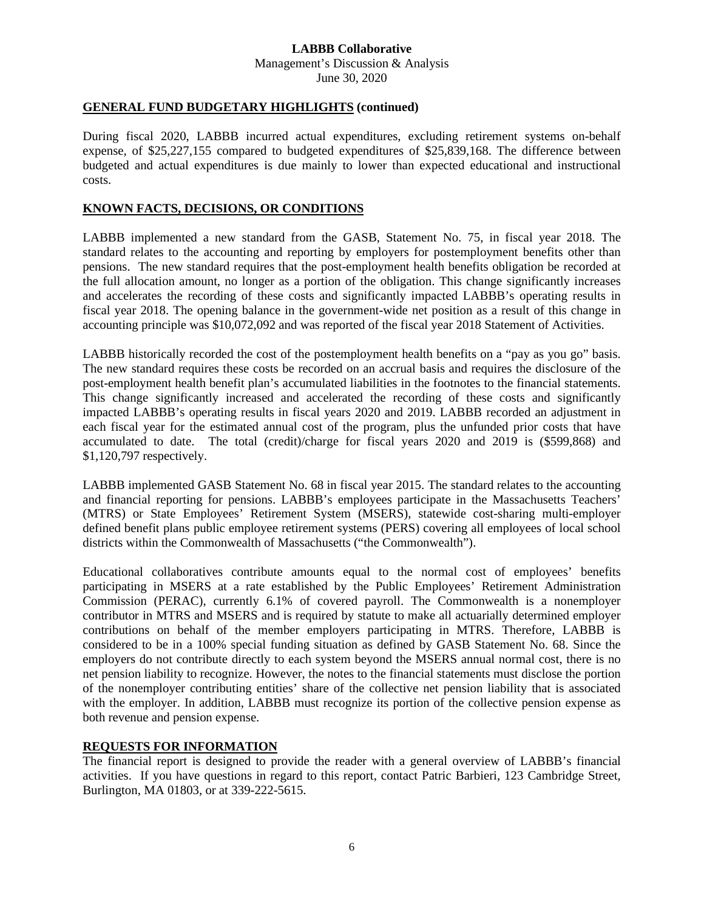#### **LABBB Collaborative** Management's Discussion & Analysis

June 30, 2020

# **GENERAL FUND BUDGETARY HIGHLIGHTS (continued)**

During fiscal 2020, LABBB incurred actual expenditures, excluding retirement systems on-behalf expense, of \$25,227,155 compared to budgeted expenditures of \$25,839,168. The difference between budgeted and actual expenditures is due mainly to lower than expected educational and instructional costs.

## **KNOWN FACTS, DECISIONS, OR CONDITIONS**

LABBB implemented a new standard from the GASB, Statement No. 75, in fiscal year 2018. The standard relates to the accounting and reporting by employers for postemployment benefits other than pensions. The new standard requires that the post-employment health benefits obligation be recorded at the full allocation amount, no longer as a portion of the obligation. This change significantly increases and accelerates the recording of these costs and significantly impacted LABBB's operating results in fiscal year 2018. The opening balance in the government-wide net position as a result of this change in accounting principle was \$10,072,092 and was reported of the fiscal year 2018 Statement of Activities.

LABBB historically recorded the cost of the postemployment health benefits on a "pay as you go" basis. The new standard requires these costs be recorded on an accrual basis and requires the disclosure of the post-employment health benefit plan's accumulated liabilities in the footnotes to the financial statements. This change significantly increased and accelerated the recording of these costs and significantly impacted LABBB's operating results in fiscal years 2020 and 2019. LABBB recorded an adjustment in each fiscal year for the estimated annual cost of the program, plus the unfunded prior costs that have accumulated to date. The total (credit)/charge for fiscal years 2020 and 2019 is (\$599,868) and \$1,120,797 respectively.

LABBB implemented GASB Statement No. 68 in fiscal year 2015. The standard relates to the accounting and financial reporting for pensions. LABBB's employees participate in the Massachusetts Teachers' (MTRS) or State Employees' Retirement System (MSERS), statewide cost-sharing multi-employer defined benefit plans public employee retirement systems (PERS) covering all employees of local school districts within the Commonwealth of Massachusetts ("the Commonwealth").

Educational collaboratives contribute amounts equal to the normal cost of employees' benefits participating in MSERS at a rate established by the Public Employees' Retirement Administration Commission (PERAC), currently 6.1% of covered payroll. The Commonwealth is a nonemployer contributor in MTRS and MSERS and is required by statute to make all actuarially determined employer contributions on behalf of the member employers participating in MTRS. Therefore, LABBB is considered to be in a 100% special funding situation as defined by GASB Statement No. 68. Since the employers do not contribute directly to each system beyond the MSERS annual normal cost, there is no net pension liability to recognize. However, the notes to the financial statements must disclose the portion of the nonemployer contributing entities' share of the collective net pension liability that is associated with the employer. In addition, LABBB must recognize its portion of the collective pension expense as both revenue and pension expense.

### **REQUESTS FOR INFORMATION**

The financial report is designed to provide the reader with a general overview of LABBB's financial activities. If you have questions in regard to this report, contact Patric Barbieri, 123 Cambridge Street, Burlington, MA 01803, or at 339-222-5615.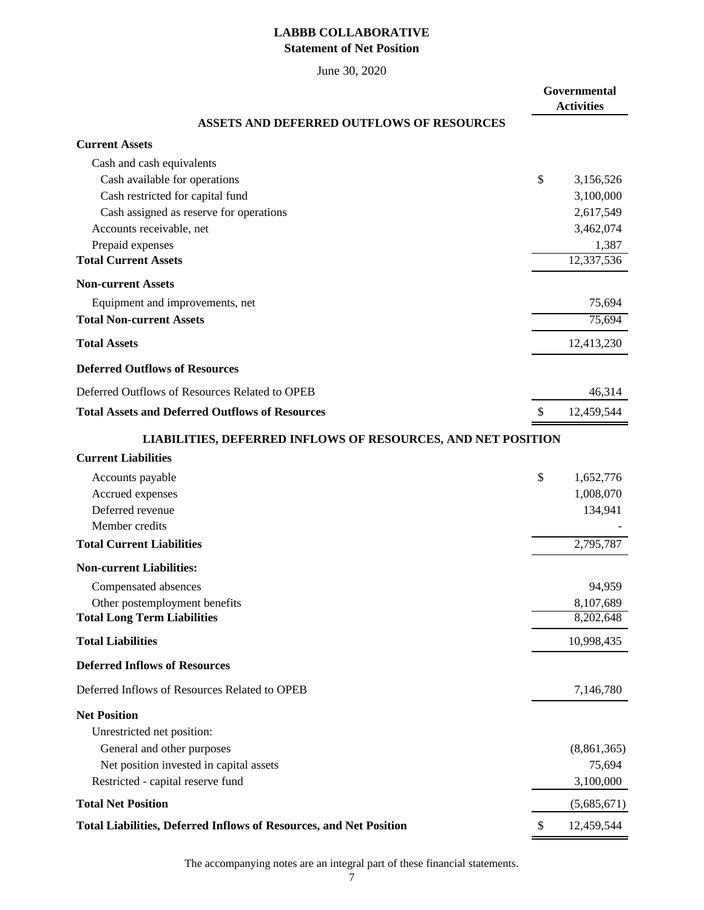# **LABBB COLLABORATIVE Statement of Net Position**

June 30, 2020

|                                                                     | Governmental<br><b>Activities</b> |
|---------------------------------------------------------------------|-----------------------------------|
| <b>ASSETS AND DEFERRED OUTFLOWS OF RESOURCES</b>                    |                                   |
| <b>Current Assets</b>                                               |                                   |
| Cash and cash equivalents                                           |                                   |
| Cash available for operations                                       | \$<br>3,156,526                   |
| Cash restricted for capital fund                                    | 3,100,000                         |
| Cash assigned as reserve for operations                             | 2,617,549                         |
| Accounts receivable, net                                            | 3,462,074                         |
| Prepaid expenses<br><b>Total Current Assets</b>                     | 1,387<br>12,337,536               |
| <b>Non-current Assets</b>                                           |                                   |
| Equipment and improvements, net                                     | 75,694                            |
| <b>Total Non-current Assets</b>                                     | 75,694                            |
|                                                                     |                                   |
| <b>Total Assets</b>                                                 | 12,413,230                        |
| <b>Deferred Outflows of Resources</b>                               |                                   |
| Deferred Outflows of Resources Related to OPEB                      | 46,314                            |
| <b>Total Assets and Deferred Outflows of Resources</b>              | \$<br>12,459,544                  |
| <b>LIABILITIES, DEFERRED INFLOWS OF RESOURCES, AND NET POSITION</b> |                                   |
| <b>Current Liabilities</b>                                          |                                   |
| Accounts payable                                                    | \$<br>1,652,776                   |
| Accrued expenses                                                    | 1,008,070                         |
| Deferred revenue                                                    | 134,941                           |
| Member credits                                                      |                                   |
| <b>Total Current Liabilities</b>                                    | 2,795,787                         |
| <b>Non-current Liabilities:</b>                                     |                                   |
| Compensated absences                                                | 94,959                            |
| Other postemployment benefits                                       | 8,107,689                         |
| <b>Total Long Term Liabilities</b>                                  | 8,202,648                         |
| <b>Total Liabilities</b>                                            | 10,998,435                        |
| <b>Deferred Inflows of Resources</b>                                |                                   |
| Deferred Inflows of Resources Related to OPEB                       | 7,146,780                         |
| <b>Net Position</b>                                                 |                                   |
| Unrestricted net position:                                          |                                   |
| General and other purposes                                          | (8,861,365)                       |
| Net position invested in capital assets                             | 75,694                            |
| Restricted - capital reserve fund                                   | 3,100,000                         |
| <b>Total Net Position</b>                                           | (5,685,671)                       |
| Total Liabilities, Deferred Inflows of Resources, and Net Position  | \$<br>12,459,544                  |

The accompanying notes are an integral part of these financial statements.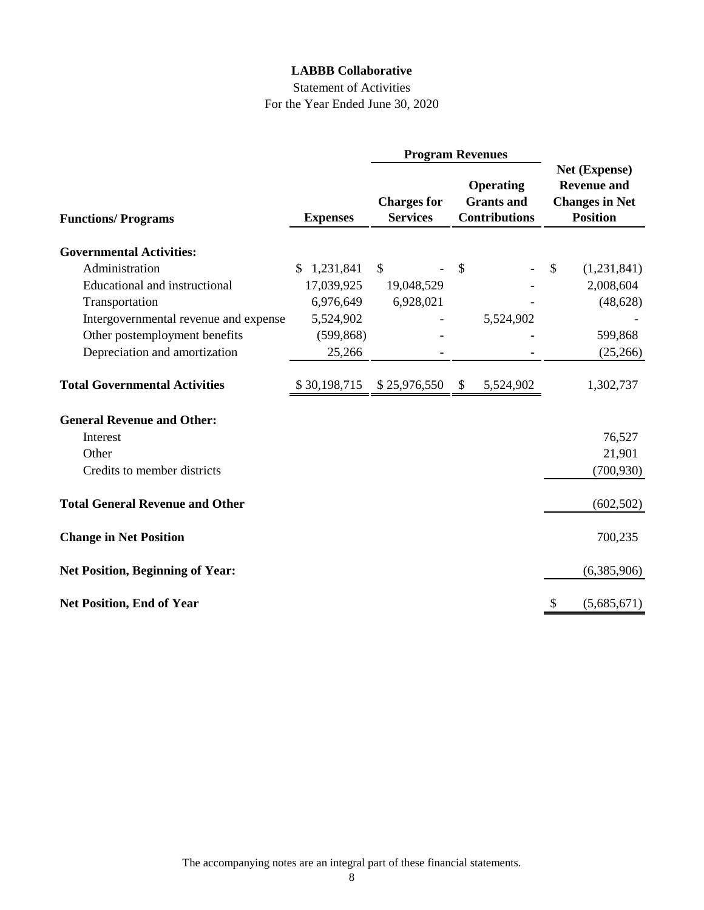# Statement of Activities For the Year Ended June 30, 2020

|                                         |                  | <b>Program Revenues</b> |                                                                                                        |    |                                                                                 |  |
|-----------------------------------------|------------------|-------------------------|--------------------------------------------------------------------------------------------------------|----|---------------------------------------------------------------------------------|--|
| <b>Functions/Programs</b>               | <b>Expenses</b>  |                         | <b>Operating</b><br><b>Grants</b> and<br><b>Charges for</b><br><b>Services</b><br><b>Contributions</b> |    | Net (Expense)<br><b>Revenue and</b><br><b>Changes in Net</b><br><b>Position</b> |  |
|                                         |                  |                         |                                                                                                        |    |                                                                                 |  |
| <b>Governmental Activities:</b>         |                  |                         |                                                                                                        |    |                                                                                 |  |
| Administration                          | 1,231,841<br>\$. | $\mathbb{S}$            | \$                                                                                                     | \$ | (1,231,841)                                                                     |  |
| <b>Educational and instructional</b>    | 17,039,925       | 19,048,529              |                                                                                                        |    | 2,008,604                                                                       |  |
| Transportation                          | 6,976,649        | 6,928,021               |                                                                                                        |    | (48, 628)                                                                       |  |
| Intergovernmental revenue and expense   | 5,524,902        |                         | 5,524,902                                                                                              |    |                                                                                 |  |
| Other postemployment benefits           | (599, 868)       |                         |                                                                                                        |    | 599,868                                                                         |  |
| Depreciation and amortization           | 25,266           |                         |                                                                                                        |    | (25,266)                                                                        |  |
| <b>Total Governmental Activities</b>    | \$30,198,715     | \$25,976,550            | 5,524,902<br>\$                                                                                        |    | 1,302,737                                                                       |  |
| <b>General Revenue and Other:</b>       |                  |                         |                                                                                                        |    |                                                                                 |  |
| Interest                                |                  |                         |                                                                                                        |    | 76,527                                                                          |  |
| Other                                   |                  |                         |                                                                                                        |    | 21,901                                                                          |  |
| Credits to member districts             |                  |                         |                                                                                                        |    | (700, 930)                                                                      |  |
| <b>Total General Revenue and Other</b>  |                  |                         |                                                                                                        |    | (602, 502)                                                                      |  |
| <b>Change in Net Position</b>           |                  |                         |                                                                                                        |    | 700,235                                                                         |  |
| <b>Net Position, Beginning of Year:</b> |                  |                         |                                                                                                        |    | (6,385,906)                                                                     |  |
| <b>Net Position, End of Year</b>        |                  |                         |                                                                                                        | \$ | (5,685,671)                                                                     |  |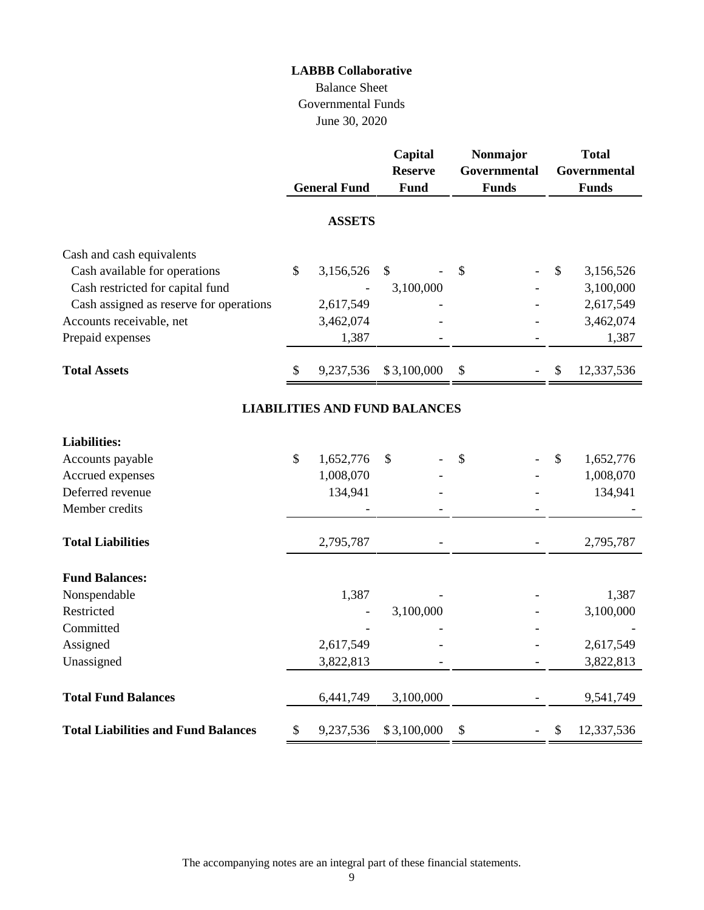# Balance Sheet Governmental Funds June 30, 2020

|                                            | <b>General Fund</b> | Capital<br><b>Reserve</b><br>Fund    | Nonmajor<br>Governmental<br><b>Funds</b> | <b>Total</b><br>Governmental<br><b>Funds</b> |
|--------------------------------------------|---------------------|--------------------------------------|------------------------------------------|----------------------------------------------|
|                                            | <b>ASSETS</b>       |                                      |                                          |                                              |
| Cash and cash equivalents                  |                     |                                      |                                          |                                              |
| Cash available for operations              | \$<br>3,156,526     | \$                                   | \$                                       | \$<br>3,156,526                              |
| Cash restricted for capital fund           |                     | 3,100,000                            |                                          | 3,100,000                                    |
| Cash assigned as reserve for operations    | 2,617,549           |                                      |                                          | 2,617,549                                    |
| Accounts receivable, net                   | 3,462,074           |                                      |                                          | 3,462,074                                    |
| Prepaid expenses                           | 1,387               |                                      |                                          | 1,387                                        |
| <b>Total Assets</b>                        | \$<br>9,237,536     | \$3,100,000                          | \$                                       | \$<br>12,337,536                             |
|                                            |                     | <b>LIABILITIES AND FUND BALANCES</b> |                                          |                                              |
| <b>Liabilities:</b>                        |                     |                                      |                                          |                                              |
| Accounts payable                           | \$<br>1,652,776     | \$                                   | \$                                       | \$<br>1,652,776                              |
| Accrued expenses                           | 1,008,070           |                                      |                                          | 1,008,070                                    |
| Deferred revenue                           | 134,941             |                                      |                                          | 134,941                                      |
| Member credits                             |                     |                                      |                                          |                                              |
| <b>Total Liabilities</b>                   | 2,795,787           |                                      |                                          | 2,795,787                                    |
| <b>Fund Balances:</b>                      |                     |                                      |                                          |                                              |
| Nonspendable                               | 1,387               |                                      |                                          | 1,387                                        |
| Restricted                                 |                     | 3,100,000                            |                                          | 3,100,000                                    |
| Committed                                  |                     |                                      |                                          |                                              |
| Assigned                                   | 2,617,549           |                                      |                                          | 2,617,549                                    |
| Unassigned                                 | 3,822,813           |                                      |                                          | 3,822,813                                    |
| <b>Total Fund Balances</b>                 | 6,441,749           | 3,100,000                            |                                          | 9,541,749                                    |
| <b>Total Liabilities and Fund Balances</b> | \$<br>9,237,536     | \$3,100,000                          | \$                                       | \$<br>12,337,536                             |

The accompanying notes are an integral part of these financial statements.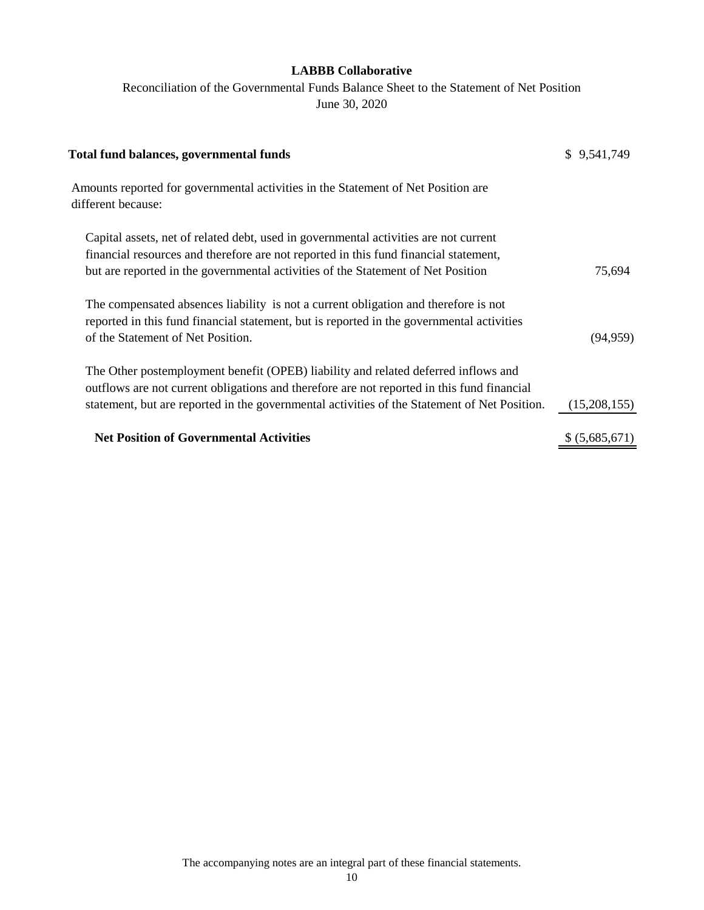Reconciliation of the Governmental Funds Balance Sheet to the Statement of Net Position June 30, 2020

| <b>Total fund balances, governmental funds</b>                                                                                                                                                                        | \$9,541,749    |
|-----------------------------------------------------------------------------------------------------------------------------------------------------------------------------------------------------------------------|----------------|
| Amounts reported for governmental activities in the Statement of Net Position are<br>different because:                                                                                                               |                |
| Capital assets, net of related debt, used in governmental activities are not current<br>financial resources and therefore are not reported in this fund financial statement,                                          |                |
| but are reported in the governmental activities of the Statement of Net Position                                                                                                                                      | 75,694         |
| The compensated absences liability is not a current obligation and therefore is not<br>reported in this fund financial statement, but is reported in the governmental activities<br>of the Statement of Net Position. | (94, 959)      |
| The Other postemployment benefit (OPEB) liability and related deferred inflows and<br>outflows are not current obligations and therefore are not reported in this fund financial                                      |                |
| statement, but are reported in the governmental activities of the Statement of Net Position.                                                                                                                          | (15,208,155)   |
| <b>Net Position of Governmental Activities</b>                                                                                                                                                                        | \$ (5,685,671) |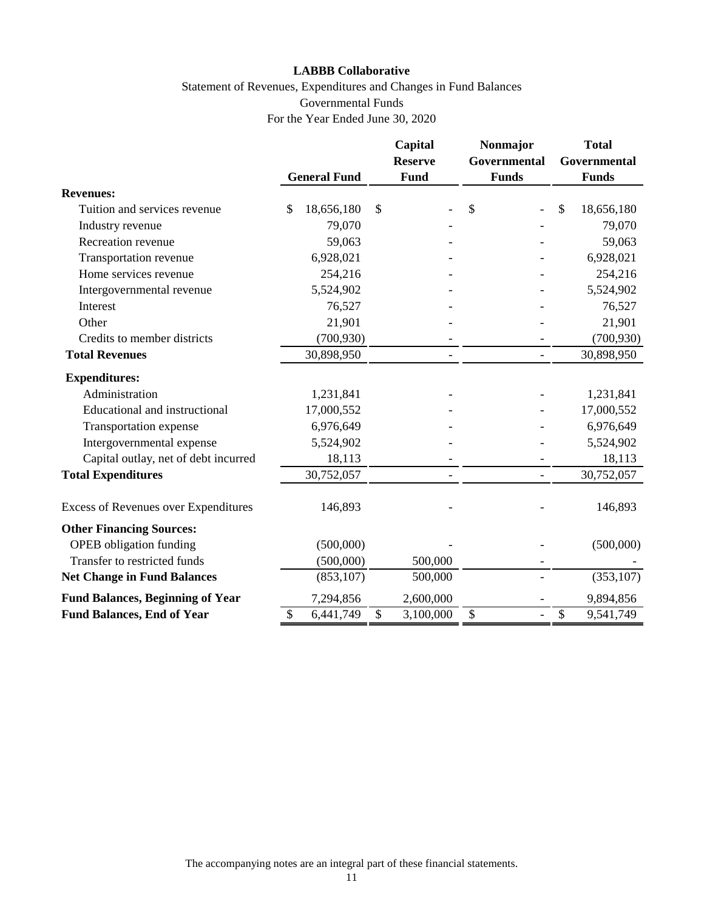# Statement of Revenues, Expenditures and Changes in Fund Balances Governmental Funds For the Year Ended June 30, 2020

|                                             |                     | Capital<br><b>Reserve</b> | Nonmajor<br>Governmental       | <b>Total</b><br>Governmental |
|---------------------------------------------|---------------------|---------------------------|--------------------------------|------------------------------|
|                                             | <b>General Fund</b> | Fund                      | <b>Funds</b>                   | <b>Funds</b>                 |
| <b>Revenues:</b>                            |                     |                           |                                |                              |
| Tuition and services revenue                | \$<br>18,656,180    | \$                        | \$                             | \$<br>18,656,180             |
| Industry revenue                            | 79,070              |                           |                                | 79,070                       |
| Recreation revenue                          | 59,063              |                           |                                | 59,063                       |
| Transportation revenue                      | 6,928,021           |                           |                                | 6,928,021                    |
| Home services revenue                       | 254,216             |                           |                                | 254,216                      |
| Intergovernmental revenue                   | 5,524,902           |                           |                                | 5,524,902                    |
| Interest                                    | 76,527              |                           |                                | 76,527                       |
| Other                                       | 21,901              |                           |                                | 21,901                       |
| Credits to member districts                 | (700, 930)          |                           |                                | (700, 930)                   |
| <b>Total Revenues</b>                       | 30,898,950          | $\overline{\phantom{0}}$  | $\overline{a}$                 | 30,898,950                   |
| <b>Expenditures:</b>                        |                     |                           |                                |                              |
| Administration                              | 1,231,841           |                           |                                | 1,231,841                    |
| Educational and instructional               | 17,000,552          |                           |                                | 17,000,552                   |
| Transportation expense                      | 6,976,649           |                           |                                | 6,976,649                    |
| Intergovernmental expense                   | 5,524,902           |                           |                                | 5,524,902                    |
| Capital outlay, net of debt incurred        | 18,113              |                           |                                | 18,113                       |
| <b>Total Expenditures</b>                   | 30,752,057          |                           | $\overline{\phantom{0}}$       | 30,752,057                   |
| <b>Excess of Revenues over Expenditures</b> | 146,893             |                           |                                | 146,893                      |
| <b>Other Financing Sources:</b>             |                     |                           |                                |                              |
| <b>OPEB</b> obligation funding              | (500,000)           |                           |                                | (500,000)                    |
| Transfer to restricted funds                | (500,000)           | 500,000                   |                                |                              |
| <b>Net Change in Fund Balances</b>          | (853, 107)          | 500,000                   |                                | (353, 107)                   |
| <b>Fund Balances, Beginning of Year</b>     | 7,294,856           | 2,600,000                 |                                | 9,894,856                    |
| <b>Fund Balances, End of Year</b>           | \$<br>6,441,749     | \$<br>3,100,000           | \$<br>$\overline{\phantom{0}}$ | \$<br>9,541,749              |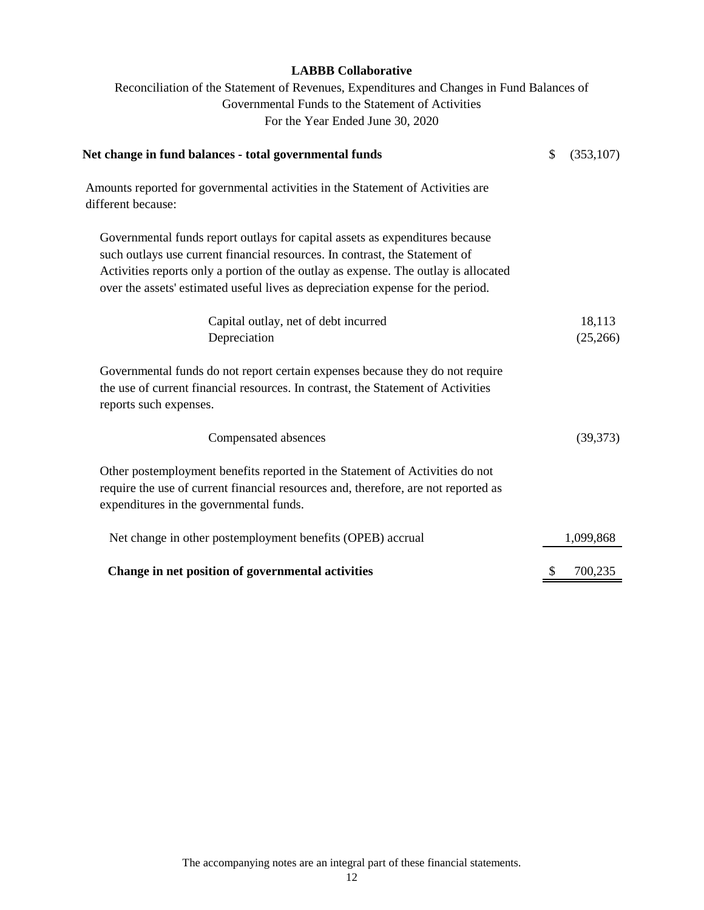Reconciliation of the Statement of Revenues, Expenditures and Changes in Fund Balances of Governmental Funds to the Statement of Activities For the Year Ended June 30, 2020

| Net change in fund balances - total governmental funds                                                                                                                                                                                                                                                                                | \$<br>(353, 107) |
|---------------------------------------------------------------------------------------------------------------------------------------------------------------------------------------------------------------------------------------------------------------------------------------------------------------------------------------|------------------|
| Amounts reported for governmental activities in the Statement of Activities are<br>different because:                                                                                                                                                                                                                                 |                  |
| Governmental funds report outlays for capital assets as expenditures because<br>such outlays use current financial resources. In contrast, the Statement of<br>Activities reports only a portion of the outlay as expense. The outlay is allocated<br>over the assets' estimated useful lives as depreciation expense for the period. |                  |
| Capital outlay, net of debt incurred                                                                                                                                                                                                                                                                                                  | 18,113           |
| Depreciation                                                                                                                                                                                                                                                                                                                          | (25,266)         |
| Governmental funds do not report certain expenses because they do not require<br>the use of current financial resources. In contrast, the Statement of Activities<br>reports such expenses.                                                                                                                                           |                  |
| Compensated absences                                                                                                                                                                                                                                                                                                                  | (39,373)         |
| Other postemployment benefits reported in the Statement of Activities do not<br>require the use of current financial resources and, therefore, are not reported as<br>expenditures in the governmental funds.                                                                                                                         |                  |
| Net change in other postemployment benefits (OPEB) accrual                                                                                                                                                                                                                                                                            | 1,099,868        |
| Change in net position of governmental activities                                                                                                                                                                                                                                                                                     | \$<br>700,235    |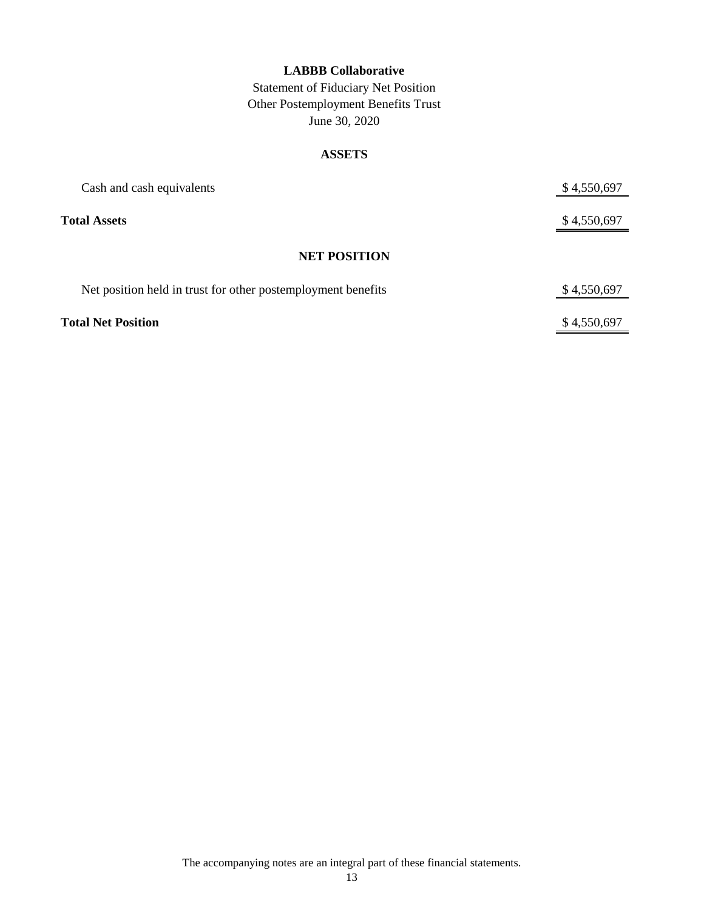Statement of Fiduciary Net Position Other Postemployment Benefits Trust June 30, 2020

### **ASSETS**

| Cash and cash equivalents                                    | \$4,550,697 |
|--------------------------------------------------------------|-------------|
| <b>Total Assets</b>                                          | \$4,550,697 |
| <b>NET POSITION</b>                                          |             |
| Net position held in trust for other postemployment benefits | \$4,550,697 |
| <b>Total Net Position</b>                                    | \$4,550,697 |

The accompanying notes are an integral part of these financial statements.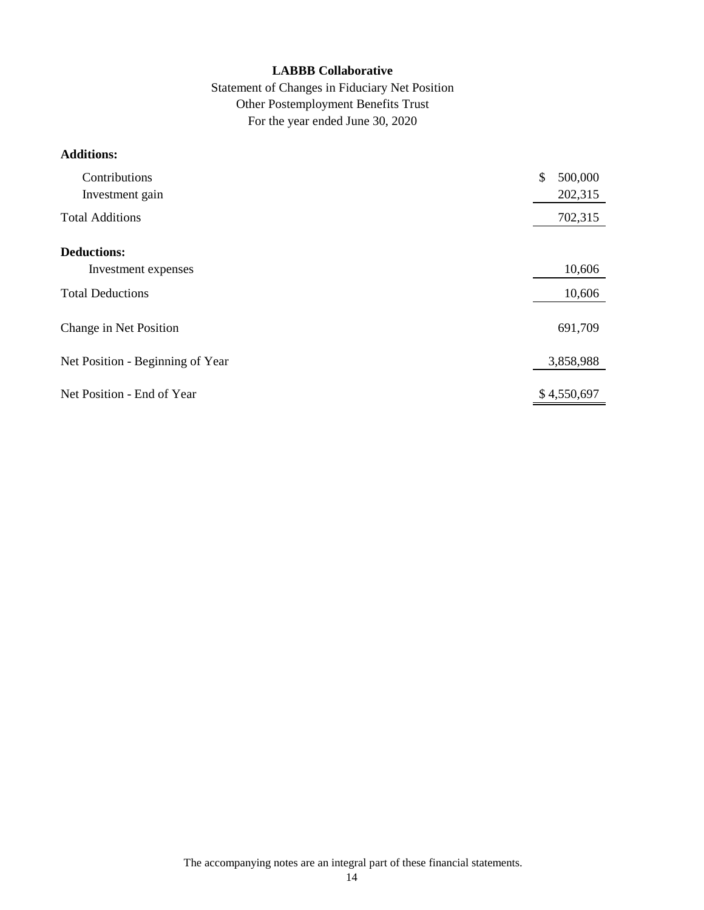# Statement of Changes in Fiduciary Net Position Other Postemployment Benefits Trust For the year ended June 30, 2020

# **Additions:**

| Contributions<br>Investment gain | \$<br>500,000<br>202,315 |
|----------------------------------|--------------------------|
| <b>Total Additions</b>           | 702,315                  |
| <b>Deductions:</b>               |                          |
| Investment expenses              | 10,606                   |
| <b>Total Deductions</b>          | 10,606                   |
| Change in Net Position           | 691,709                  |
| Net Position - Beginning of Year | 3,858,988                |
| Net Position - End of Year       | \$4,550,697              |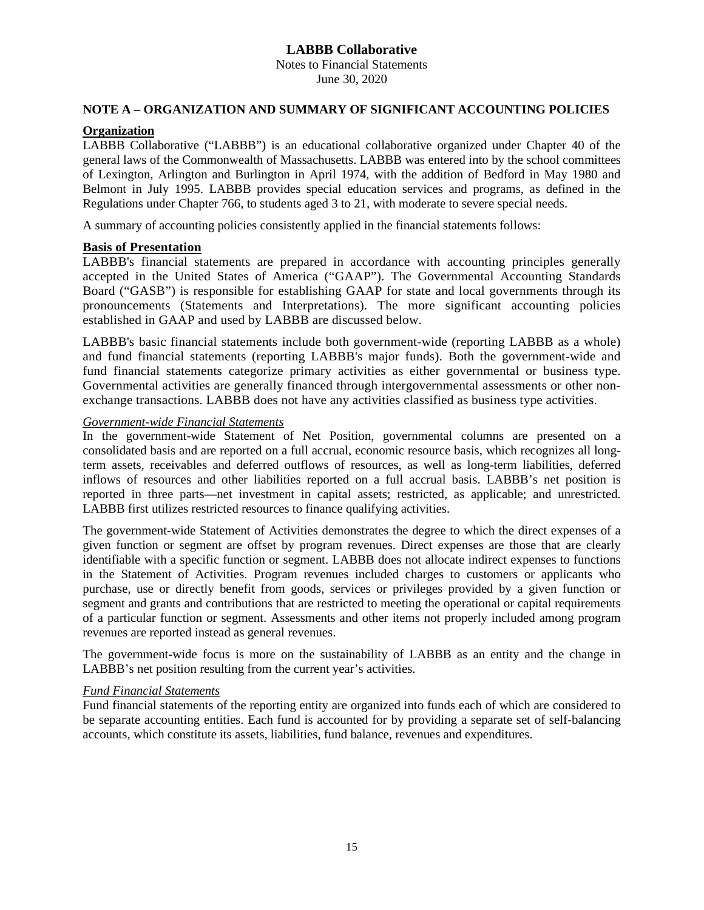Notes to Financial Statements June 30, 2020

### **NOTE A – ORGANIZATION AND SUMMARY OF SIGNIFICANT ACCOUNTING POLICIES**

# **Organization**

LABBB Collaborative ("LABBB") is an educational collaborative organized under Chapter 40 of the general laws of the Commonwealth of Massachusetts. LABBB was entered into by the school committees of Lexington, Arlington and Burlington in April 1974, with the addition of Bedford in May 1980 and Belmont in July 1995. LABBB provides special education services and programs, as defined in the Regulations under Chapter 766, to students aged 3 to 21, with moderate to severe special needs.

A summary of accounting policies consistently applied in the financial statements follows:

#### **Basis of Presentation**

LABBB's financial statements are prepared in accordance with accounting principles generally accepted in the United States of America ("GAAP"). The Governmental Accounting Standards Board ("GASB") is responsible for establishing GAAP for state and local governments through its pronouncements (Statements and Interpretations). The more significant accounting policies established in GAAP and used by LABBB are discussed below.

LABBB's basic financial statements include both government-wide (reporting LABBB as a whole) and fund financial statements (reporting LABBB's major funds). Both the government-wide and fund financial statements categorize primary activities as either governmental or business type. Governmental activities are generally financed through intergovernmental assessments or other nonexchange transactions. LABBB does not have any activities classified as business type activities.

#### *Government-wide Financial Statements*

In the government-wide Statement of Net Position, governmental columns are presented on a consolidated basis and are reported on a full accrual, economic resource basis, which recognizes all longterm assets, receivables and deferred outflows of resources, as well as long-term liabilities, deferred inflows of resources and other liabilities reported on a full accrual basis. LABBB's net position is reported in three parts—net investment in capital assets; restricted, as applicable; and unrestricted. LABBB first utilizes restricted resources to finance qualifying activities.

The government-wide Statement of Activities demonstrates the degree to which the direct expenses of a given function or segment are offset by program revenues. Direct expenses are those that are clearly identifiable with a specific function or segment. LABBB does not allocate indirect expenses to functions in the Statement of Activities. Program revenues included charges to customers or applicants who purchase, use or directly benefit from goods, services or privileges provided by a given function or segment and grants and contributions that are restricted to meeting the operational or capital requirements of a particular function or segment. Assessments and other items not properly included among program revenues are reported instead as general revenues.

The government-wide focus is more on the sustainability of LABBB as an entity and the change in LABBB's net position resulting from the current year's activities.

#### *Fund Financial Statements*

Fund financial statements of the reporting entity are organized into funds each of which are considered to be separate accounting entities. Each fund is accounted for by providing a separate set of self-balancing accounts, which constitute its assets, liabilities, fund balance, revenues and expenditures.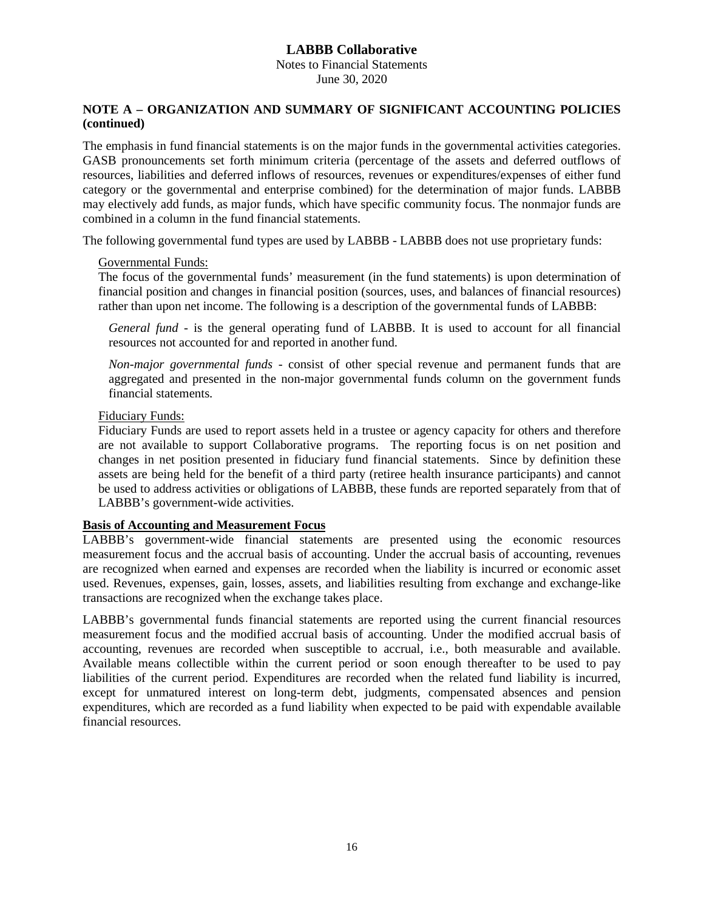Notes to Financial Statements June 30, 2020

### **NOTE A – ORGANIZATION AND SUMMARY OF SIGNIFICANT ACCOUNTING POLICIES (continued)**

The emphasis in fund financial statements is on the major funds in the governmental activities categories. GASB pronouncements set forth minimum criteria (percentage of the assets and deferred outflows of resources, liabilities and deferred inflows of resources, revenues or expenditures/expenses of either fund category or the governmental and enterprise combined) for the determination of major funds. LABBB may electively add funds, as major funds, which have specific community focus. The nonmajor funds are combined in a column in the fund financial statements.

The following governmental fund types are used by LABBB - LABBB does not use proprietary funds:

#### Governmental Funds:

The focus of the governmental funds' measurement (in the fund statements) is upon determination of financial position and changes in financial position (sources, uses, and balances of financial resources) rather than upon net income. The following is a description of the governmental funds of LABBB:

*General fund* - is the general operating fund of LABBB. It is used to account for all financial resources not accounted for and reported in another fund.

*Non-major governmental funds* - consist of other special revenue and permanent funds that are aggregated and presented in the non-major governmental funds column on the government funds financial statements.

#### Fiduciary Funds:

Fiduciary Funds are used to report assets held in a trustee or agency capacity for others and therefore are not available to support Collaborative programs. The reporting focus is on net position and changes in net position presented in fiduciary fund financial statements. Since by definition these assets are being held for the benefit of a third party (retiree health insurance participants) and cannot be used to address activities or obligations of LABBB, these funds are reported separately from that of LABBB's government-wide activities.

### **Basis of Accounting and Measurement Focus**

LABBB's government-wide financial statements are presented using the economic resources measurement focus and the accrual basis of accounting. Under the accrual basis of accounting, revenues are recognized when earned and expenses are recorded when the liability is incurred or economic asset used. Revenues, expenses, gain, losses, assets, and liabilities resulting from exchange and exchange-like transactions are recognized when the exchange takes place.

LABBB's governmental funds financial statements are reported using the current financial resources measurement focus and the modified accrual basis of accounting. Under the modified accrual basis of accounting, revenues are recorded when susceptible to accrual, i.e., both measurable and available. Available means collectible within the current period or soon enough thereafter to be used to pay liabilities of the current period. Expenditures are recorded when the related fund liability is incurred, except for unmatured interest on long-term debt, judgments, compensated absences and pension expenditures, which are recorded as a fund liability when expected to be paid with expendable available financial resources.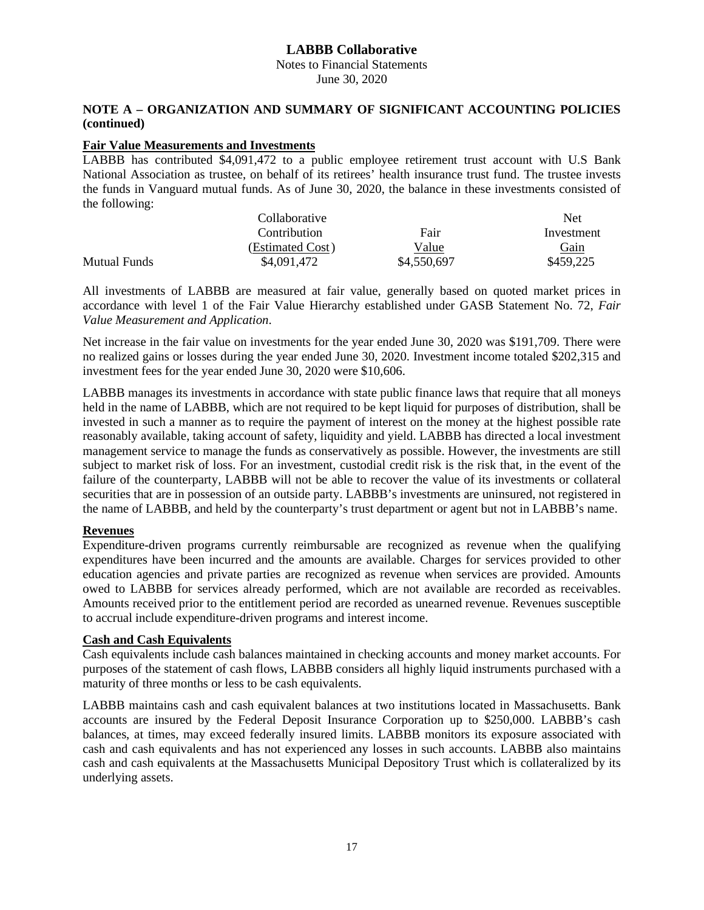Notes to Financial Statements June 30, 2020

### **NOTE A – ORGANIZATION AND SUMMARY OF SIGNIFICANT ACCOUNTING POLICIES (continued)**

### **Fair Value Measurements and Investments**

LABBB has contributed \$4,091,472 to a public employee retirement trust account with U.S Bank National Association as trustee, on behalf of its retirees' health insurance trust fund. The trustee invests the funds in Vanguard mutual funds. As of June 30, 2020, the balance in these investments consisted of the following:

|                     | Collaborative    |             | Net.        |
|---------------------|------------------|-------------|-------------|
|                     | Contribution     | Fair        | Investment  |
|                     | (Estimated Cost) | Value       | <b>Gain</b> |
| <b>Mutual Funds</b> | \$4,091,472      | \$4,550,697 | \$459,225   |

All investments of LABBB are measured at fair value, generally based on quoted market prices in accordance with level 1 of the Fair Value Hierarchy established under GASB Statement No. 72, *Fair Value Measurement and Application*.

Net increase in the fair value on investments for the year ended June 30, 2020 was \$191,709. There were no realized gains or losses during the year ended June 30, 2020. Investment income totaled \$202,315 and investment fees for the year ended June 30, 2020 were \$10,606.

LABBB manages its investments in accordance with state public finance laws that require that all moneys held in the name of LABBB, which are not required to be kept liquid for purposes of distribution, shall be invested in such a manner as to require the payment of interest on the money at the highest possible rate reasonably available, taking account of safety, liquidity and yield. LABBB has directed a local investment management service to manage the funds as conservatively as possible. However, the investments are still subject to market risk of loss. For an investment, custodial credit risk is the risk that, in the event of the failure of the counterparty, LABBB will not be able to recover the value of its investments or collateral securities that are in possession of an outside party. LABBB's investments are uninsured, not registered in the name of LABBB, and held by the counterparty's trust department or agent but not in LABBB's name.

### **Revenues**

Expenditure-driven programs currently reimbursable are recognized as revenue when the qualifying expenditures have been incurred and the amounts are available. Charges for services provided to other education agencies and private parties are recognized as revenue when services are provided. Amounts owed to LABBB for services already performed, which are not available are recorded as receivables. Amounts received prior to the entitlement period are recorded as unearned revenue. Revenues susceptible to accrual include expenditure-driven programs and interest income.

#### **Cash and Cash Equivalents**

Cash equivalents include cash balances maintained in checking accounts and money market accounts. For purposes of the statement of cash flows, LABBB considers all highly liquid instruments purchased with a maturity of three months or less to be cash equivalents.

LABBB maintains cash and cash equivalent balances at two institutions located in Massachusetts. Bank accounts are insured by the Federal Deposit Insurance Corporation up to \$250,000. LABBB's cash balances, at times, may exceed federally insured limits. LABBB monitors its exposure associated with cash and cash equivalents and has not experienced any losses in such accounts. LABBB also maintains cash and cash equivalents at the Massachusetts Municipal Depository Trust which is collateralized by its underlying assets.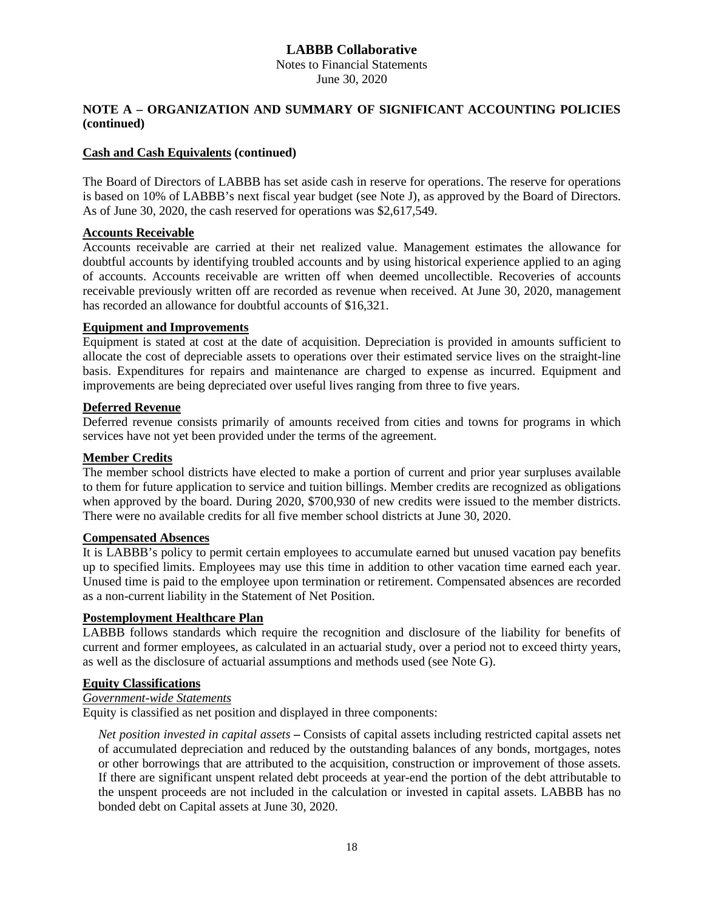Notes to Financial Statements June 30, 2020

## **NOTE A – ORGANIZATION AND SUMMARY OF SIGNIFICANT ACCOUNTING POLICIES (continued)**

### **Cash and Cash Equivalents (continued)**

The Board of Directors of LABBB has set aside cash in reserve for operations. The reserve for operations is based on 10% of LABBB's next fiscal year budget (see Note J), as approved by the Board of Directors. As of June 30, 2020, the cash reserved for operations was \$2,617,549.

### **Accounts Receivable**

Accounts receivable are carried at their net realized value. Management estimates the allowance for doubtful accounts by identifying troubled accounts and by using historical experience applied to an aging of accounts. Accounts receivable are written off when deemed uncollectible. Recoveries of accounts receivable previously written off are recorded as revenue when received. At June 30, 2020, management has recorded an allowance for doubtful accounts of \$16,321.

### **Equipment and Improvements**

Equipment is stated at cost at the date of acquisition. Depreciation is provided in amounts sufficient to allocate the cost of depreciable assets to operations over their estimated service lives on the straight-line basis. Expenditures for repairs and maintenance are charged to expense as incurred. Equipment and improvements are being depreciated over useful lives ranging from three to five years.

## **Deferred Revenue**

Deferred revenue consists primarily of amounts received from cities and towns for programs in which services have not yet been provided under the terms of the agreement.

### **Member Credits**

The member school districts have elected to make a portion of current and prior year surpluses available to them for future application to service and tuition billings. Member credits are recognized as obligations when approved by the board. During 2020, \$700,930 of new credits were issued to the member districts. There were no available credits for all five member school districts at June 30, 2020.

### **Compensated Absences**

It is LABBB's policy to permit certain employees to accumulate earned but unused vacation pay benefits up to specified limits. Employees may use this time in addition to other vacation time earned each year. Unused time is paid to the employee upon termination or retirement. Compensated absences are recorded as a non-current liability in the Statement of Net Position.

### **Postemployment Healthcare Plan**

LABBB follows standards which require the recognition and disclosure of the liability for benefits of current and former employees, as calculated in an actuarial study, over a period not to exceed thirty years, as well as the disclosure of actuarial assumptions and methods used (see Note G).

### **Equity Classifications**

# *Government-wide Statements*

Equity is classified as net position and displayed in three components:

*Net position invested in capital assets* **–** Consists of capital assets including restricted capital assets net of accumulated depreciation and reduced by the outstanding balances of any bonds, mortgages, notes or other borrowings that are attributed to the acquisition, construction or improvement of those assets. If there are significant unspent related debt proceeds at year-end the portion of the debt attributable to the unspent proceeds are not included in the calculation or invested in capital assets. LABBB has no bonded debt on Capital assets at June 30, 2020.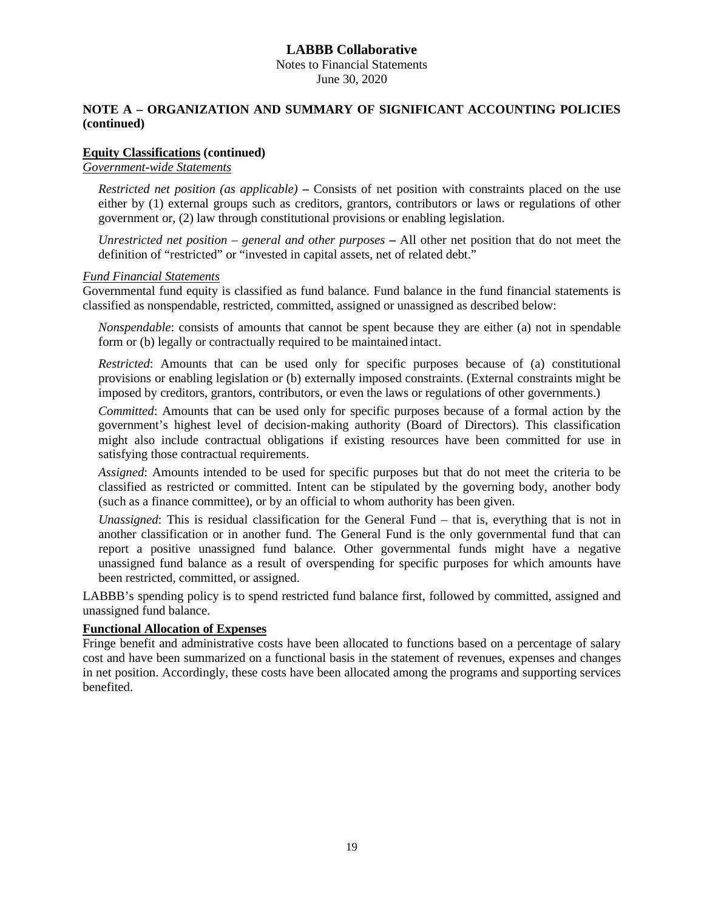Notes to Financial Statements June 30, 2020

### **NOTE A – ORGANIZATION AND SUMMARY OF SIGNIFICANT ACCOUNTING POLICIES (continued)**

#### **Equity Classifications (continued)**

#### *Government-wide Statements*

*Restricted net position (as applicable)* **–** Consists of net position with constraints placed on the use either by (1) external groups such as creditors, grantors, contributors or laws or regulations of other government or, (2) law through constitutional provisions or enabling legislation.

*Unrestricted net position – general and other purposes* **–** All other net position that do not meet the definition of "restricted" or "invested in capital assets, net of related debt."

#### *Fund Financial Statements*

Governmental fund equity is classified as fund balance. Fund balance in the fund financial statements is classified as nonspendable, restricted, committed, assigned or unassigned as described below:

*Nonspendable*: consists of amounts that cannot be spent because they are either (a) not in spendable form or (b) legally or contractually required to be maintained intact.

*Restricted*: Amounts that can be used only for specific purposes because of (a) constitutional provisions or enabling legislation or (b) externally imposed constraints. (External constraints might be imposed by creditors, grantors, contributors, or even the laws or regulations of other governments.)

*Committed*: Amounts that can be used only for specific purposes because of a formal action by the government's highest level of decision-making authority (Board of Directors). This classification might also include contractual obligations if existing resources have been committed for use in satisfying those contractual requirements.

*Assigned*: Amounts intended to be used for specific purposes but that do not meet the criteria to be classified as restricted or committed. Intent can be stipulated by the governing body, another body (such as a finance committee), or by an official to whom authority has been given.

*Unassigned*: This is residual classification for the General Fund – that is, everything that is not in another classification or in another fund. The General Fund is the only governmental fund that can report a positive unassigned fund balance. Other governmental funds might have a negative unassigned fund balance as a result of overspending for specific purposes for which amounts have been restricted, committed, or assigned.

LABBB's spending policy is to spend restricted fund balance first, followed by committed, assigned and unassigned fund balance.

### **Functional Allocation of Expenses**

Fringe benefit and administrative costs have been allocated to functions based on a percentage of salary cost and have been summarized on a functional basis in the statement of revenues, expenses and changes in net position. Accordingly, these costs have been allocated among the programs and supporting services benefited.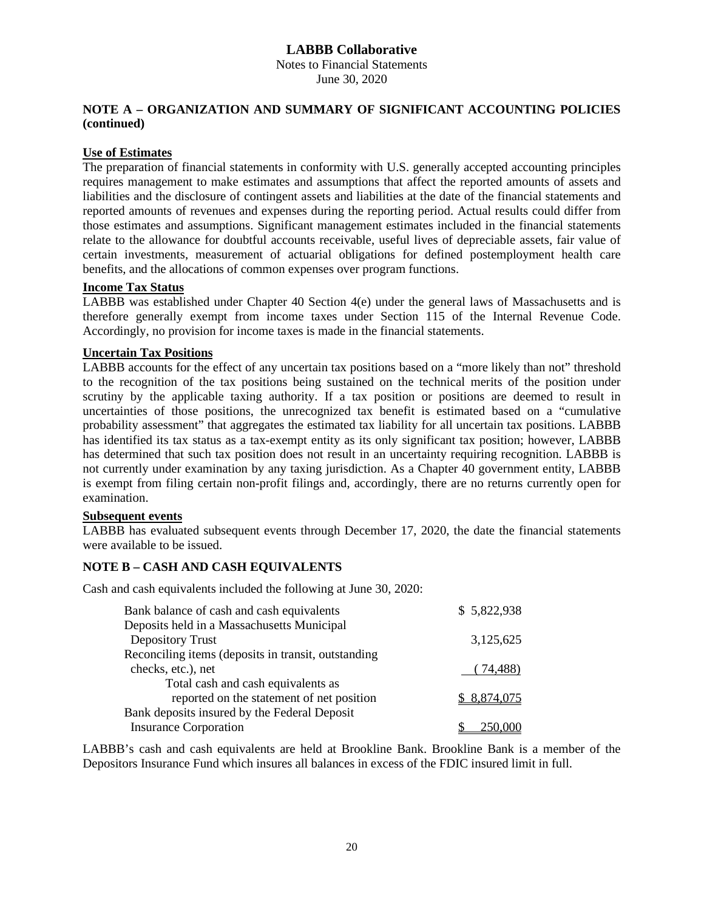Notes to Financial Statements June 30, 2020

### **NOTE A – ORGANIZATION AND SUMMARY OF SIGNIFICANT ACCOUNTING POLICIES (continued)**

### **Use of Estimates**

The preparation of financial statements in conformity with U.S. generally accepted accounting principles requires management to make estimates and assumptions that affect the reported amounts of assets and liabilities and the disclosure of contingent assets and liabilities at the date of the financial statements and reported amounts of revenues and expenses during the reporting period. Actual results could differ from those estimates and assumptions. Significant management estimates included in the financial statements relate to the allowance for doubtful accounts receivable, useful lives of depreciable assets, fair value of certain investments, measurement of actuarial obligations for defined postemployment health care benefits, and the allocations of common expenses over program functions.

# **Income Tax Status**

LABBB was established under Chapter 40 Section 4(e) under the general laws of Massachusetts and is therefore generally exempt from income taxes under Section 115 of the Internal Revenue Code. Accordingly, no provision for income taxes is made in the financial statements.

### **Uncertain Tax Positions**

LABBB accounts for the effect of any uncertain tax positions based on a "more likely than not" threshold to the recognition of the tax positions being sustained on the technical merits of the position under scrutiny by the applicable taxing authority. If a tax position or positions are deemed to result in uncertainties of those positions, the unrecognized tax benefit is estimated based on a "cumulative probability assessment" that aggregates the estimated tax liability for all uncertain tax positions. LABBB has identified its tax status as a tax-exempt entity as its only significant tax position; however, LABBB has determined that such tax position does not result in an uncertainty requiring recognition. LABBB is not currently under examination by any taxing jurisdiction. As a Chapter 40 government entity, LABBB is exempt from filing certain non-profit filings and, accordingly, there are no returns currently open for examination.

### **Subsequent events**

LABBB has evaluated subsequent events through December 17, 2020, the date the financial statements were available to be issued.

### **NOTE B – CASH AND CASH EQUIVALENTS**

Cash and cash equivalents included the following at June 30, 2020:

| Bank balance of cash and cash equivalents           | \$5,822,938  |
|-----------------------------------------------------|--------------|
| Deposits held in a Massachusetts Municipal          |              |
| <b>Depository Trust</b>                             | 3,125,625    |
| Reconciling items (deposits in transit, outstanding |              |
| checks, etc.), net                                  | (74, 488)    |
| Total cash and cash equivalents as                  |              |
| reported on the statement of net position           | \$ 8,874,075 |
| Bank deposits insured by the Federal Deposit        |              |
| <b>Insurance Corporation</b>                        |              |

LABBB's cash and cash equivalents are held at Brookline Bank. Brookline Bank is a member of the Depositors Insurance Fund which insures all balances in excess of the FDIC insured limit in full.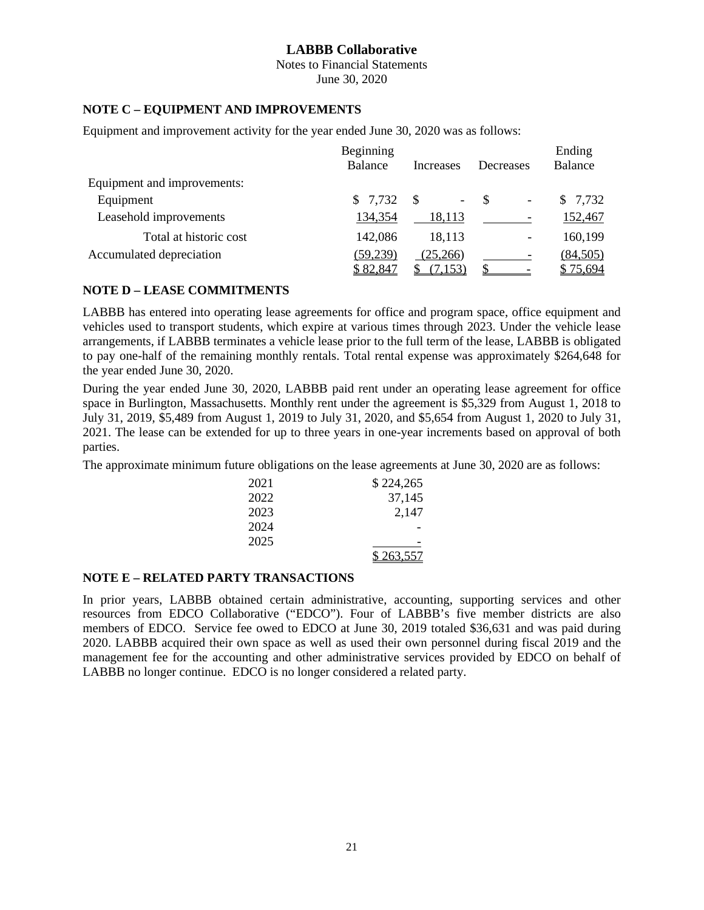Notes to Financial Statements June 30, 2020

### **NOTE C – EQUIPMENT AND IMPROVEMENTS**

Equipment and improvement activity for the year ended June 30, 2020 was as follows:

|                             | Beginning |           |                                | Ending   |
|-----------------------------|-----------|-----------|--------------------------------|----------|
|                             | Balance   | Increases | Decreases                      | Balance  |
| Equipment and improvements: |           |           |                                |          |
| Equipment                   | \$7,732   | -S<br>Ξ.  | -S<br>$\overline{\phantom{a}}$ | \$7,732  |
| Leasehold improvements      | 134,354   | 18,113    |                                | 152,467  |
| Total at historic cost      | 142,086   | 18,113    | $\overline{\phantom{a}}$       | 160,199  |
| Accumulated depreciation    | (59, 239) | (25,266)  |                                | (84,505) |
|                             | \$82,847  | (7, 153)  |                                | \$75,694 |

### **NOTE D – LEASE COMMITMENTS**

LABBB has entered into operating lease agreements for office and program space, office equipment and vehicles used to transport students, which expire at various times through 2023. Under the vehicle lease arrangements, if LABBB terminates a vehicle lease prior to the full term of the lease, LABBB is obligated to pay one-half of the remaining monthly rentals. Total rental expense was approximately \$264,648 for the year ended June 30, 2020.

During the year ended June 30, 2020, LABBB paid rent under an operating lease agreement for office space in Burlington, Massachusetts. Monthly rent under the agreement is \$5,329 from August 1, 2018 to July 31, 2019, \$5,489 from August 1, 2019 to July 31, 2020, and \$5,654 from August 1, 2020 to July 31, 2021. The lease can be extended for up to three years in one-year increments based on approval of both parties.

The approximate minimum future obligations on the lease agreements at June 30, 2020 are as follows:

| 2021 | \$224,265 |
|------|-----------|
| 2022 | 37,145    |
| 2023 | 2,147     |
| 2024 |           |
| 2025 |           |
|      | \$263,557 |

### **NOTE E – RELATED PARTY TRANSACTIONS**

In prior years, LABBB obtained certain administrative, accounting, supporting services and other resources from EDCO Collaborative ("EDCO"). Four of LABBB's five member districts are also members of EDCO. Service fee owed to EDCO at June 30, 2019 totaled \$36,631 and was paid during 2020. LABBB acquired their own space as well as used their own personnel during fiscal 2019 and the management fee for the accounting and other administrative services provided by EDCO on behalf of LABBB no longer continue. EDCO is no longer considered a related party.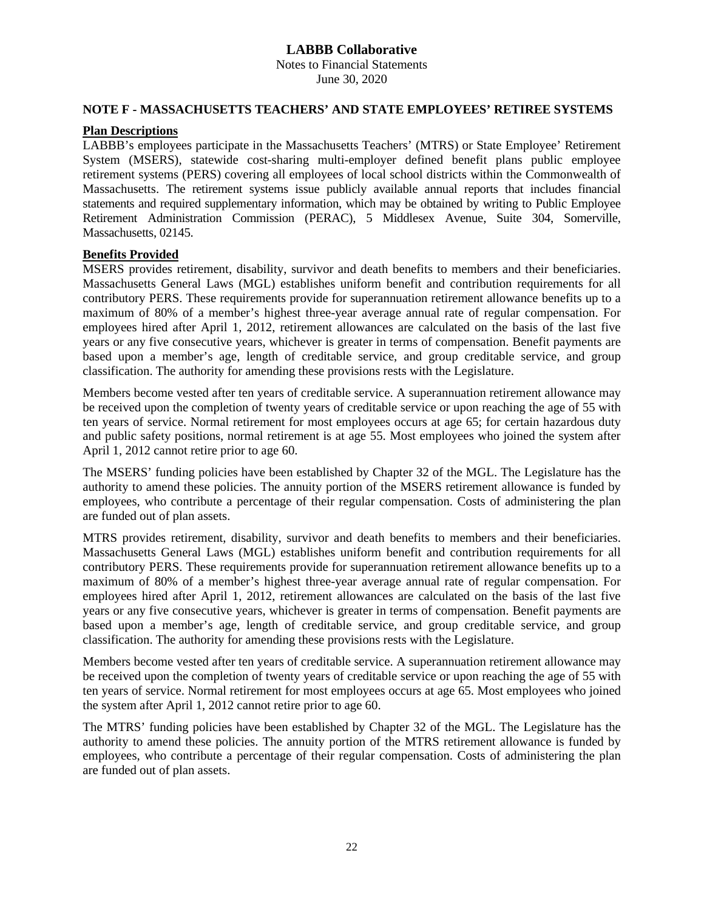Notes to Financial Statements June 30, 2020

#### **NOTE F - MASSACHUSETTS TEACHERS' AND STATE EMPLOYEES' RETIREE SYSTEMS**

#### **Plan Descriptions**

LABBB's employees participate in the Massachusetts Teachers' (MTRS) or State Employee' Retirement System (MSERS), statewide cost-sharing multi-employer defined benefit plans public employee retirement systems (PERS) covering all employees of local school districts within the Commonwealth of Massachusetts. The retirement systems issue publicly available annual reports that includes financial statements and required supplementary information, which may be obtained by writing to Public Employee Retirement Administration Commission (PERAC), 5 Middlesex Avenue, Suite 304, Somerville, Massachusetts, 02145.

#### **Benefits Provided**

MSERS provides retirement, disability, survivor and death benefits to members and their beneficiaries. Massachusetts General Laws (MGL) establishes uniform benefit and contribution requirements for all contributory PERS. These requirements provide for superannuation retirement allowance benefits up to a maximum of 80% of a member's highest three-year average annual rate of regular compensation. For employees hired after April 1, 2012, retirement allowances are calculated on the basis of the last five years or any five consecutive years, whichever is greater in terms of compensation. Benefit payments are based upon a member's age, length of creditable service, and group creditable service, and group classification. The authority for amending these provisions rests with the Legislature.

Members become vested after ten years of creditable service. A superannuation retirement allowance may be received upon the completion of twenty years of creditable service or upon reaching the age of 55 with ten years of service. Normal retirement for most employees occurs at age 65; for certain hazardous duty and public safety positions, normal retirement is at age 55. Most employees who joined the system after April 1, 2012 cannot retire prior to age 60.

The MSERS' funding policies have been established by Chapter 32 of the MGL. The Legislature has the authority to amend these policies. The annuity portion of the MSERS retirement allowance is funded by employees, who contribute a percentage of their regular compensation. Costs of administering the plan are funded out of plan assets.

MTRS provides retirement, disability, survivor and death benefits to members and their beneficiaries. Massachusetts General Laws (MGL) establishes uniform benefit and contribution requirements for all contributory PERS. These requirements provide for superannuation retirement allowance benefits up to a maximum of 80% of a member's highest three-year average annual rate of regular compensation. For employees hired after April 1, 2012, retirement allowances are calculated on the basis of the last five years or any five consecutive years, whichever is greater in terms of compensation. Benefit payments are based upon a member's age, length of creditable service, and group creditable service, and group classification. The authority for amending these provisions rests with the Legislature.

Members become vested after ten years of creditable service. A superannuation retirement allowance may be received upon the completion of twenty years of creditable service or upon reaching the age of 55 with ten years of service. Normal retirement for most employees occurs at age 65. Most employees who joined the system after April 1, 2012 cannot retire prior to age 60.

The MTRS' funding policies have been established by Chapter 32 of the MGL. The Legislature has the authority to amend these policies. The annuity portion of the MTRS retirement allowance is funded by employees, who contribute a percentage of their regular compensation. Costs of administering the plan are funded out of plan assets.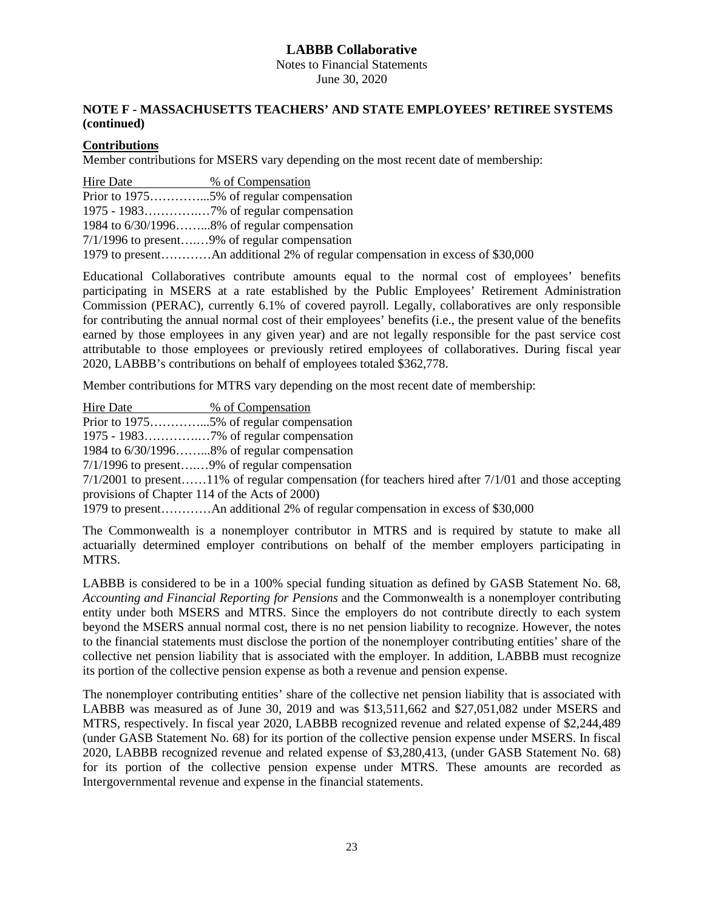Notes to Financial Statements June 30, 2020

## **NOTE F - MASSACHUSETTS TEACHERS' AND STATE EMPLOYEES' RETIREE SYSTEMS (continued)**

## **Contributions**

Member contributions for MSERS vary depending on the most recent date of membership:

| Hire Date | % of Compensation                               |
|-----------|-------------------------------------------------|
|           |                                                 |
|           |                                                 |
|           | 1984 to $6/30/1996$ 8% of regular compensation  |
|           | $7/1/1996$ to present9% of regular compensation |
|           |                                                 |

Educational Collaboratives contribute amounts equal to the normal cost of employees' benefits participating in MSERS at a rate established by the Public Employees' Retirement Administration Commission (PERAC), currently 6.1% of covered payroll. Legally, collaboratives are only responsible for contributing the annual normal cost of their employees' benefits (i.e., the present value of the benefits earned by those employees in any given year) and are not legally responsible for the past service cost attributable to those employees or previously retired employees of collaboratives. During fiscal year 2020, LABBB's contributions on behalf of employees totaled \$362,778.

Member contributions for MTRS vary depending on the most recent date of membership:

| <b>Hire Date</b> | % of Compensation |
|------------------|-------------------|
|                  |                   |

Prior to 1975………………5% of regular compensation

1975 - 1983………….…7% of regular compensation

1984 to 6/30/1996……...8% of regular compensation

7/1/1996 to present….…9% of regular compensation

7/1/2001 to present……11% of regular compensation (for teachers hired after 7/1/01 and those accepting provisions of Chapter 114 of the Acts of 2000)

1979 to present…………An additional 2% of regular compensation in excess of \$30,000

The Commonwealth is a nonemployer contributor in MTRS and is required by statute to make all actuarially determined employer contributions on behalf of the member employers participating in MTRS.

LABBB is considered to be in a 100% special funding situation as defined by GASB Statement No. 68, *Accounting and Financial Reporting for Pensions* and the Commonwealth is a nonemployer contributing entity under both MSERS and MTRS. Since the employers do not contribute directly to each system beyond the MSERS annual normal cost, there is no net pension liability to recognize. However, the notes to the financial statements must disclose the portion of the nonemployer contributing entities' share of the collective net pension liability that is associated with the employer. In addition, LABBB must recognize its portion of the collective pension expense as both a revenue and pension expense.

The nonemployer contributing entities' share of the collective net pension liability that is associated with LABBB was measured as of June 30, 2019 and was \$13,511,662 and \$27,051,082 under MSERS and MTRS, respectively. In fiscal year 2020, LABBB recognized revenue and related expense of \$2,244,489 (under GASB Statement No. 68) for its portion of the collective pension expense under MSERS. In fiscal 2020, LABBB recognized revenue and related expense of \$3,280,413, (under GASB Statement No. 68) for its portion of the collective pension expense under MTRS. These amounts are recorded as Intergovernmental revenue and expense in the financial statements.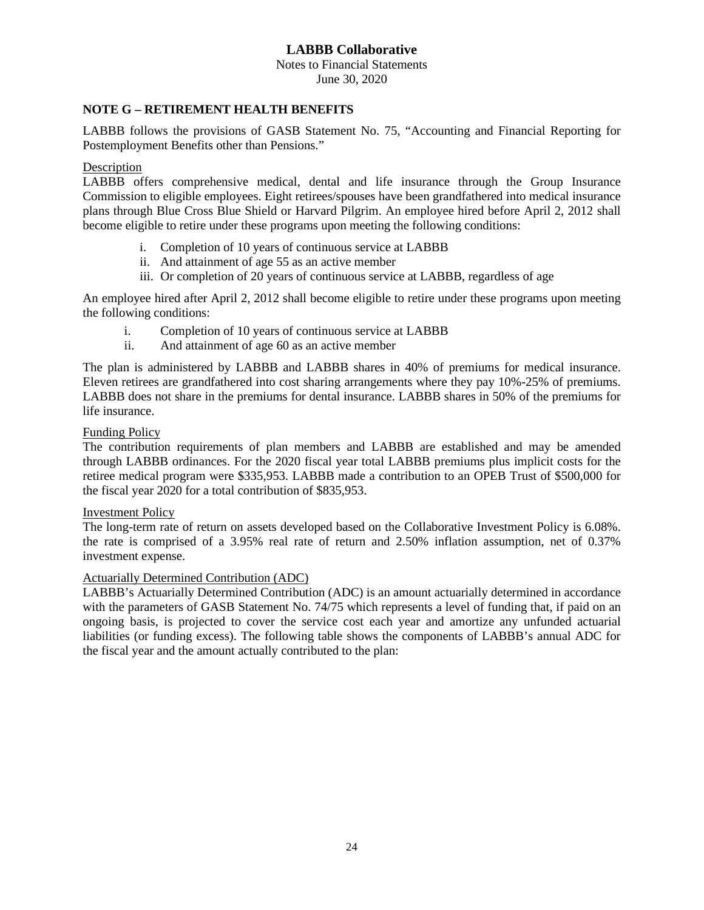Notes to Financial Statements June 30, 2020

#### **NOTE G – RETIREMENT HEALTH BENEFITS**

LABBB follows the provisions of GASB Statement No. 75, "Accounting and Financial Reporting for Postemployment Benefits other than Pensions."

### Description

LABBB offers comprehensive medical, dental and life insurance through the Group Insurance Commission to eligible employees. Eight retirees/spouses have been grandfathered into medical insurance plans through Blue Cross Blue Shield or Harvard Pilgrim. An employee hired before April 2, 2012 shall become eligible to retire under these programs upon meeting the following conditions:

- i. Completion of 10 years of continuous service at LABBB
- ii. And attainment of age 55 as an active member
- iii. Or completion of 20 years of continuous service at LABBB, regardless of age

An employee hired after April 2, 2012 shall become eligible to retire under these programs upon meeting the following conditions:

- i. Completion of 10 years of continuous service at LABBB
- ii. And attainment of age 60 as an active member

The plan is administered by LABBB and LABBB shares in 40% of premiums for medical insurance. Eleven retirees are grandfathered into cost sharing arrangements where they pay 10%-25% of premiums. LABBB does not share in the premiums for dental insurance. LABBB shares in 50% of the premiums for life insurance.

#### Funding Policy

The contribution requirements of plan members and LABBB are established and may be amended through LABBB ordinances. For the 2020 fiscal year total LABBB premiums plus implicit costs for the retiree medical program were \$335,953. LABBB made a contribution to an OPEB Trust of \$500,000 for the fiscal year 2020 for a total contribution of \$835,953.

#### Investment Policy

The long-term rate of return on assets developed based on the Collaborative Investment Policy is 6.08%. the rate is comprised of a 3.95% real rate of return and 2.50% inflation assumption, net of 0.37% investment expense.

#### Actuarially Determined Contribution (ADC)

LABBB's Actuarially Determined Contribution (ADC) is an amount actuarially determined in accordance with the parameters of GASB Statement No. 74/75 which represents a level of funding that, if paid on an ongoing basis, is projected to cover the service cost each year and amortize any unfunded actuarial liabilities (or funding excess). The following table shows the components of LABBB's annual ADC for the fiscal year and the amount actually contributed to the plan: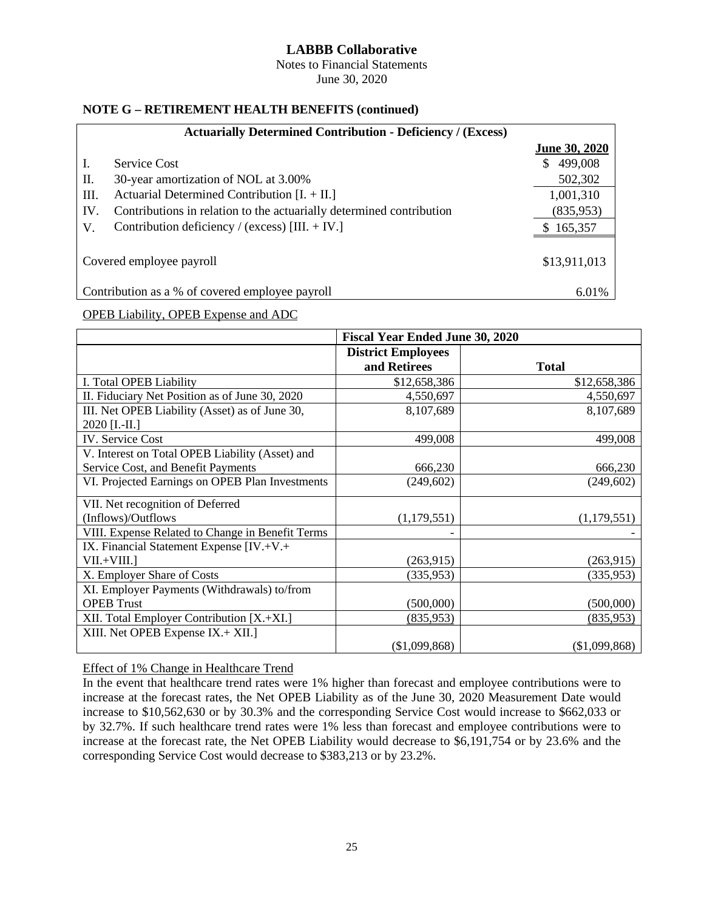Notes to Financial Statements June 30, 2020

### **NOTE G – RETIREMENT HEALTH BENEFITS (continued)**

|             | <b>Actuarially Determined Contribution - Deficiency / (Excess)</b>   |                      |
|-------------|----------------------------------------------------------------------|----------------------|
|             |                                                                      | <b>June 30, 2020</b> |
| Ι.          | <b>Service Cost</b>                                                  | 499,008<br>S.        |
| П.          | 30-year amortization of NOL at 3.00%                                 | 502,302              |
| Ш.          | Actuarial Determined Contribution $[I. + II.]$                       | 1,001,310            |
| IV.         | Contributions in relation to the actuarially determined contribution | (835,953)            |
| $V_{\cdot}$ | Contribution deficiency / (excess) $[III. + IV.]$                    | \$165,357            |
|             |                                                                      |                      |
|             | Covered employee payroll                                             | \$13,911,013         |
|             | Contribution as a % of covered employee payroll                      | 6.01%                |

# OPEB Liability, OPEB Expense and ADC

|                                                  | <b>Fiscal Year Ended June 30, 2020</b> |               |  |  |  |  |  |
|--------------------------------------------------|----------------------------------------|---------------|--|--|--|--|--|
|                                                  | <b>District Employees</b>              |               |  |  |  |  |  |
|                                                  | and Retirees                           | <b>Total</b>  |  |  |  |  |  |
| I. Total OPEB Liability                          | \$12,658,386                           | \$12,658,386  |  |  |  |  |  |
| II. Fiduciary Net Position as of June 30, 2020   | 4,550,697                              | 4,550,697     |  |  |  |  |  |
| III. Net OPEB Liability (Asset) as of June 30,   | 8,107,689                              | 8,107,689     |  |  |  |  |  |
| $2020$ [I.-II.]                                  |                                        |               |  |  |  |  |  |
| IV. Service Cost                                 | 499,008                                | 499,008       |  |  |  |  |  |
| V. Interest on Total OPEB Liability (Asset) and  |                                        |               |  |  |  |  |  |
| Service Cost, and Benefit Payments               | 666,230                                | 666,230       |  |  |  |  |  |
| VI. Projected Earnings on OPEB Plan Investments  | (249,602)                              | (249, 602)    |  |  |  |  |  |
| VII. Net recognition of Deferred                 |                                        |               |  |  |  |  |  |
| (Inflows)/Outflows                               | (1,179,551)                            | (1, 179, 551) |  |  |  |  |  |
| VIII. Expense Related to Change in Benefit Terms |                                        |               |  |  |  |  |  |
| IX. Financial Statement Expense [IV.+V.+         |                                        |               |  |  |  |  |  |
| $VII.+VIII.$                                     | (263,915)                              | (263, 915)    |  |  |  |  |  |
| X. Employer Share of Costs                       | (335, 953)                             | (335, 953)    |  |  |  |  |  |
| XI. Employer Payments (Withdrawals) to/from      |                                        |               |  |  |  |  |  |
| <b>OPEB</b> Trust                                | (500,000)                              | (500,000)     |  |  |  |  |  |
| XII. Total Employer Contribution [X.+XI.]        | (835,953)                              | (835,953)     |  |  |  |  |  |
| XIII. Net OPEB Expense IX.+ XII.]                |                                        |               |  |  |  |  |  |
|                                                  | (\$1,099,868)                          | (\$1,099,868) |  |  |  |  |  |

Effect of 1% Change in Healthcare Trend

In the event that healthcare trend rates were 1% higher than forecast and employee contributions were to increase at the forecast rates, the Net OPEB Liability as of the June 30, 2020 Measurement Date would increase to \$10,562,630 or by 30.3% and the corresponding Service Cost would increase to \$662,033 or by 32.7%. If such healthcare trend rates were 1% less than forecast and employee contributions were to increase at the forecast rate, the Net OPEB Liability would decrease to \$6,191,754 or by 23.6% and the corresponding Service Cost would decrease to \$383,213 or by 23.2%.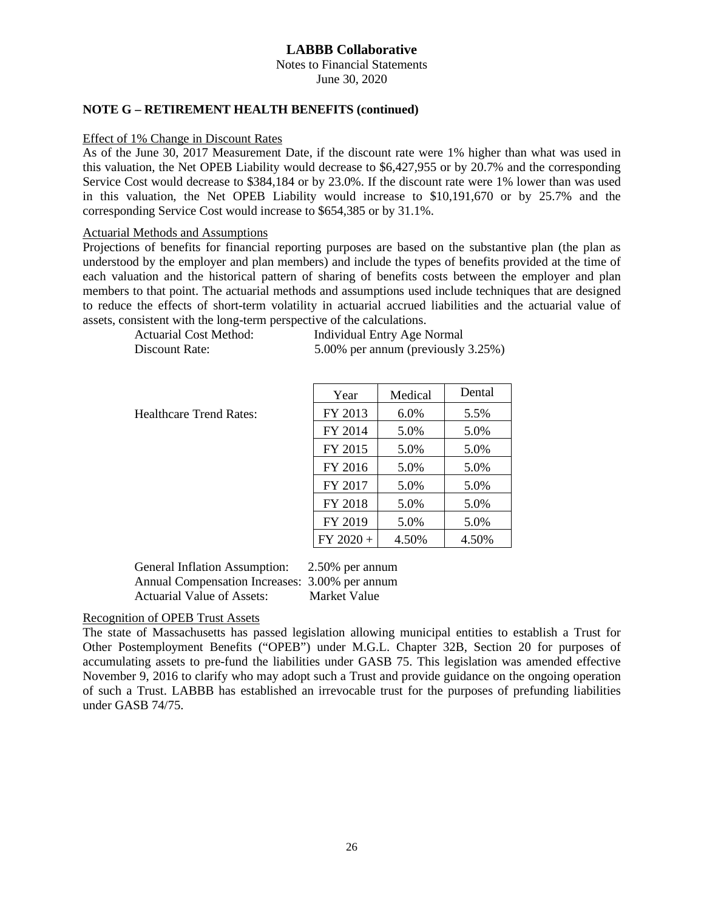Notes to Financial Statements June 30, 2020

#### **NOTE G – RETIREMENT HEALTH BENEFITS (continued)**

#### Effect of 1% Change in Discount Rates

As of the June 30, 2017 Measurement Date, if the discount rate were 1% higher than what was used in this valuation, the Net OPEB Liability would decrease to \$6,427,955 or by 20.7% and the corresponding Service Cost would decrease to \$384,184 or by 23.0%. If the discount rate were 1% lower than was used in this valuation, the Net OPEB Liability would increase to \$10,191,670 or by 25.7% and the corresponding Service Cost would increase to \$654,385 or by 31.1%.

#### Actuarial Methods and Assumptions

Projections of benefits for financial reporting purposes are based on the substantive plan (the plan as understood by the employer and plan members) and include the types of benefits provided at the time of each valuation and the historical pattern of sharing of benefits costs between the employer and plan members to that point. The actuarial methods and assumptions used include techniques that are designed to reduce the effects of short-term volatility in actuarial accrued liabilities and the actuarial value of assets, consistent with the long-term perspective of the calculations.

| Actuarial Cost Method: | Individual Entry Age Normal        |
|------------------------|------------------------------------|
| Discount Rate:         | 5.00% per annum (previously 3.25%) |

|                                | Year        | Medical | Dental |
|--------------------------------|-------------|---------|--------|
| <b>Healthcare Trend Rates:</b> | FY 2013     | 6.0%    | 5.5%   |
|                                | FY 2014     | 5.0%    | 5.0%   |
|                                | FY 2015     | 5.0%    | 5.0%   |
|                                | FY 2016     | 5.0%    | 5.0%   |
|                                | FY 2017     | 5.0%    | 5.0%   |
|                                | FY 2018     | 5.0%    | 5.0%   |
|                                | FY 2019     | 5.0%    | 5.0%   |
|                                | $FY 2020 +$ | 4.50%   | 4.50%  |

General Inflation Assumption: 2.50% per annum Annual Compensation Increases: 3.00% per annum Actuarial Value of Assets: Market Value

### Recognition of OPEB Trust Assets

The state of Massachusetts has passed legislation allowing municipal entities to establish a Trust for Other Postemployment Benefits ("OPEB") under M.G.L. Chapter 32B, Section 20 for purposes of accumulating assets to pre-fund the liabilities under GASB 75. This legislation was amended effective November 9, 2016 to clarify who may adopt such a Trust and provide guidance on the ongoing operation of such a Trust. LABBB has established an irrevocable trust for the purposes of prefunding liabilities under GASB 74/75.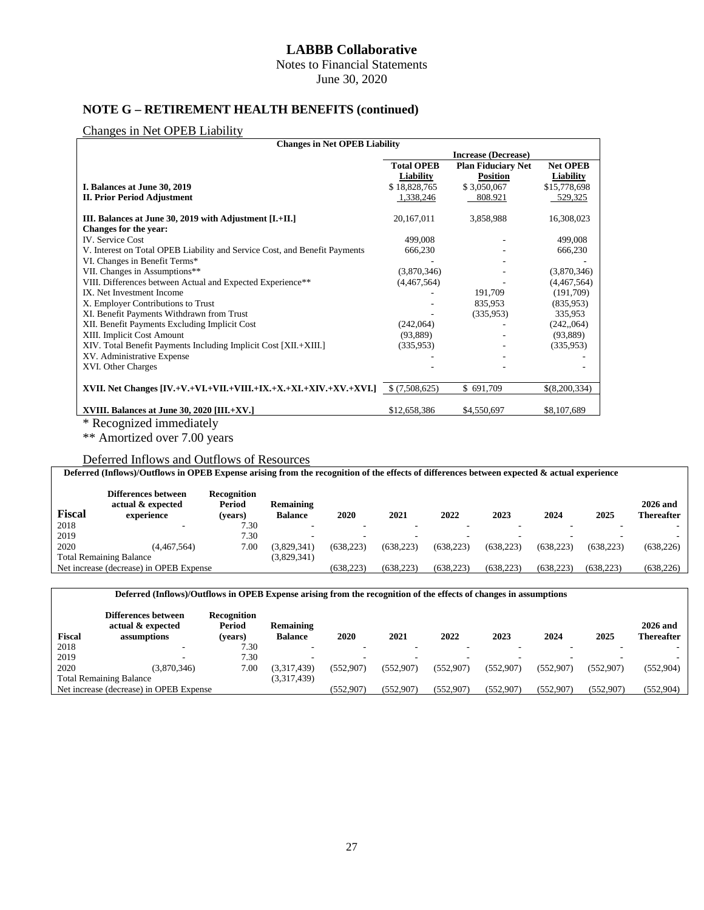Notes to Financial Statements

June 30, 2020

# **NOTE G – RETIREMENT HEALTH BENEFITS (continued)**

#### Changes in Net OPEB Liability

| <b>Changes in Net OPEB Liability</b>                                       |                   |                            |                 |
|----------------------------------------------------------------------------|-------------------|----------------------------|-----------------|
|                                                                            |                   | <b>Increase (Decrease)</b> |                 |
|                                                                            | <b>Total OPEB</b> | <b>Plan Fiduciary Net</b>  | <b>Net OPEB</b> |
|                                                                            | Liability         | <b>Position</b>            | Liability       |
| I. Balances at June 30, 2019                                               | \$18,828,765      | \$3,050,067                | \$15,778,698    |
| <b>II. Prior Period Adjustment</b>                                         | 1,338,246         | 808.921                    | 529,325         |
| III. Balances at June 30, 2019 with Adjustment [I.+II.]                    | 20,167,011        | 3,858,988                  | 16,308,023      |
| Changes for the year:                                                      |                   |                            |                 |
| <b>IV.</b> Service Cost                                                    | 499,008           |                            | 499,008         |
| V. Interest on Total OPEB Liability and Service Cost, and Benefit Payments | 666,230           |                            | 666,230         |
| VI. Changes in Benefit Terms*                                              |                   |                            |                 |
| VII. Changes in Assumptions**                                              | (3,870,346)       |                            | (3,870,346)     |
| VIII. Differences between Actual and Expected Experience**                 | (4,467,564)       |                            | (4,467,564)     |
| IX. Net Investment Income                                                  |                   | 191,709                    | (191,709)       |
| X. Employer Contributions to Trust                                         |                   | 835,953                    | (835,953)       |
| XI. Benefit Payments Withdrawn from Trust                                  |                   | (335,953)                  | 335,953         |
| XII. Benefit Payments Excluding Implicit Cost                              | (242,064)         |                            | (242, 064)      |
| XIII. Implicit Cost Amount                                                 | (93,889)          |                            | (93, 889)       |
| XIV. Total Benefit Payments Including Implicit Cost [XII.+XIII.]           | (335,953)         |                            | (335,953)       |
| XV. Administrative Expense                                                 |                   |                            |                 |
| XVI. Other Charges                                                         |                   |                            |                 |
| XVII. Net Changes [IV.+V.+VI.+VII.+VIII.+IX.+X.+XI.+XIV.+XV.+XVI.]         | \$(7,508,625)     | \$691,709                  | \$(8,200,334)   |
| XVIII. Balances at June 30, 2020 [III. $+XY$ .]                            | \$12,658,386      | \$4,550,697                | \$8,107,689     |
| * Recognized immediately                                                   |                   |                            |                 |

\*\* Amortized over 7.00 years

### Deferred Inflows and Outflows of Resources

| Deferred (Inflows)/Outflows in OPEB Expense arising from the recognition of the effects of differences between expected & actual experience |                                                        |                                  |                             |            |            |            |            |            |            |                                      |
|---------------------------------------------------------------------------------------------------------------------------------------------|--------------------------------------------------------|----------------------------------|-----------------------------|------------|------------|------------|------------|------------|------------|--------------------------------------|
| <b>Fiscal</b>                                                                                                                               | Differences between<br>actual & expected<br>experience | Recognition<br>Period<br>(vears) | Remaining<br><b>Balance</b> | 2020       | 2021       | 2022       | 2023       | 2024       | 2025       | <b>2026 and</b><br><b>Thereafter</b> |
| 2018                                                                                                                                        |                                                        | 7.30                             |                             |            |            |            |            |            |            |                                      |
| 2019                                                                                                                                        |                                                        | 7.30                             | $\overline{\phantom{a}}$    |            |            |            |            |            |            |                                      |
| 2020                                                                                                                                        | (4.467.564)                                            | 7.00                             | (3.829.341)                 | (638.223)  | (638.223)  | (638, 223) | (638, 223) | (638, 223) | (638.223)  | (638, 226)                           |
|                                                                                                                                             | <b>Total Remaining Balance</b>                         |                                  | (3,829,341)                 |            |            |            |            |            |            |                                      |
|                                                                                                                                             | Net increase (decrease) in OPEB Expense                |                                  |                             | (638, 223) | (638, 223) | (638, 223) | (638, 223) | (638, 223) | (638, 223) | (638, 226)                           |

#### **Deferred (Inflows)/Outflows in OPEB Expense arising from the recognition of the effects of changes in assumptions**

| <b>Fiscal</b> | Differences between<br>actual & expected<br>assumptions | <b>Recognition</b><br>Period<br>(vears) | Remaining<br><b>Balance</b> | 2020      | 2021       | 2022       | 2023      | 2024      | 2025      | $2026$ and<br><b>Thereafter</b> |
|---------------|---------------------------------------------------------|-----------------------------------------|-----------------------------|-----------|------------|------------|-----------|-----------|-----------|---------------------------------|
| 2018          |                                                         | 7.30                                    | $\sim$                      |           | -          |            |           |           |           |                                 |
| 2019          |                                                         | 7.30                                    |                             |           |            |            |           |           |           |                                 |
| 2020          | (3.870.346)                                             | 7.00                                    | (3.317.439)                 | (552.907) | (552.907)  | (552.907)  | (552.907) | (552.907) | (552.907) | (552, 904)                      |
|               | <b>Total Remaining Balance</b>                          |                                         | (3,317,439)                 |           |            |            |           |           |           |                                 |
|               | Net increase (decrease) in OPEB Expense                 |                                         |                             | (552.907) | (552, 907) | (552, 907) | (552,907) | (552,907) | (552.907) | (552, 904)                      |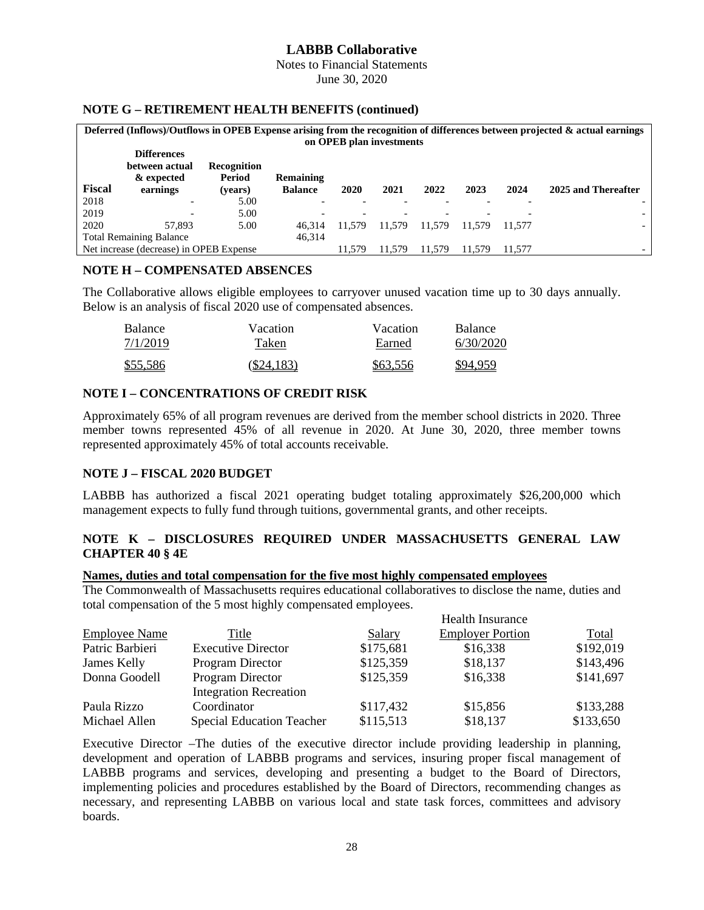Notes to Financial Statements June 30, 2020

#### **NOTE G – RETIREMENT HEALTH BENEFITS (continued)**

| Deferred (Inflows)/Outflows in OPEB Expense arising from the recognition of differences between projected $\&$ actual earnings |                                         |                    |                  |                          |        |        |        |        |                     |  |
|--------------------------------------------------------------------------------------------------------------------------------|-----------------------------------------|--------------------|------------------|--------------------------|--------|--------|--------|--------|---------------------|--|
|                                                                                                                                | on OPEB plan investments                |                    |                  |                          |        |        |        |        |                     |  |
|                                                                                                                                | <b>Differences</b>                      |                    |                  |                          |        |        |        |        |                     |  |
|                                                                                                                                | between actual                          | <b>Recognition</b> |                  |                          |        |        |        |        |                     |  |
|                                                                                                                                | & expected                              | Period             | <b>Remaining</b> |                          |        |        |        |        |                     |  |
| <b>Fiscal</b>                                                                                                                  | earnings                                | (vears)            | <b>Balance</b>   | 2020                     | 2021   | 2022   | 2023   | 2024   | 2025 and Thereafter |  |
| 2018                                                                                                                           | -                                       | 5.00               |                  |                          |        |        |        |        |                     |  |
| 2019                                                                                                                           |                                         | 5.00               |                  | $\overline{\phantom{0}}$ |        |        |        |        |                     |  |
| 2020                                                                                                                           | 57.893                                  | 5.00               | 46.314           | 11.579                   | 11.579 | 11.579 | 11.579 | 11.577 |                     |  |
|                                                                                                                                | <b>Total Remaining Balance</b>          |                    |                  |                          |        |        |        |        |                     |  |
|                                                                                                                                | Net increase (decrease) in OPEB Expense |                    |                  | 11.579                   | 11.579 | 11.579 | 11.579 | 11.577 |                     |  |

#### **NOTE H – COMPENSATED ABSENCES**

The Collaborative allows eligible employees to carryover unused vacation time up to 30 days annually. Below is an analysis of fiscal 2020 use of compensated absences.

| Balance  | Vacation     | Vacation | <b>Balance</b> |
|----------|--------------|----------|----------------|
| 7/1/2019 | Taken        | Earned   | 6/30/2020      |
| \$55,586 | $(\$24,183)$ | \$63,556 | \$94.959       |

#### **NOTE I – CONCENTRATIONS OF CREDIT RISK**

Approximately 65% of all program revenues are derived from the member school districts in 2020. Three member towns represented 45% of all revenue in 2020. At June 30, 2020, three member towns represented approximately 45% of total accounts receivable.

### **NOTE J – FISCAL 2020 BUDGET**

LABBB has authorized a fiscal 2021 operating budget totaling approximately \$26,200,000 which management expects to fully fund through tuitions, governmental grants, and other receipts.

### **NOTE K – DISCLOSURES REQUIRED UNDER MASSACHUSETTS GENERAL LAW CHAPTER 40 § 4E**

#### **Names, duties and total compensation for the five most highly compensated employees**

The Commonwealth of Massachusetts requires educational collaboratives to disclose the name, duties and total compensation of the 5 most highly compensated employees.

| <b>Employee Name</b> | Title                            | Salary    | <b>Employer Portion</b> | Total     |
|----------------------|----------------------------------|-----------|-------------------------|-----------|
| Patric Barbieri      | <b>Executive Director</b>        | \$175,681 | \$16,338                | \$192,019 |
| James Kelly          | Program Director                 | \$125,359 | \$18,137                | \$143,496 |
| Donna Goodell        | Program Director                 | \$125,359 | \$16,338                | \$141,697 |
|                      | <b>Integration Recreation</b>    |           |                         |           |
| Paula Rizzo          | Coordinator                      | \$117,432 | \$15,856                | \$133,288 |
| Michael Allen        | <b>Special Education Teacher</b> | \$115,513 | \$18,137                | \$133,650 |

Executive Director –The duties of the executive director include providing leadership in planning, development and operation of LABBB programs and services, insuring proper fiscal management of LABBB programs and services, developing and presenting a budget to the Board of Directors, implementing policies and procedures established by the Board of Directors, recommending changes as necessary, and representing LABBB on various local and state task forces, committees and advisory boards.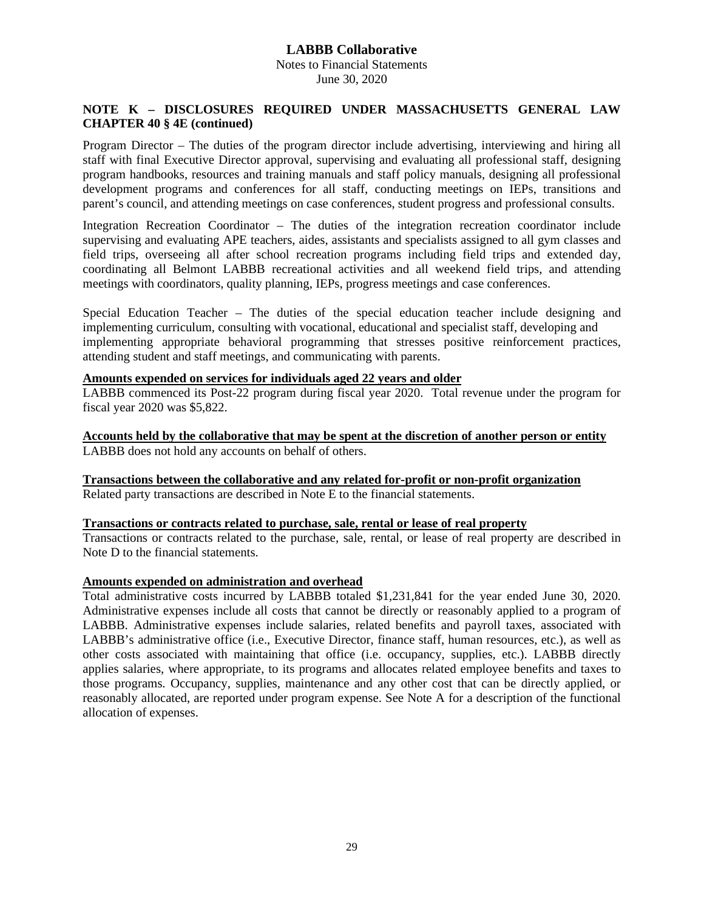# **LABBB Collaborative** Notes to Financial Statements June 30, 2020

### **NOTE K – DISCLOSURES REQUIRED UNDER MASSACHUSETTS GENERAL LAW CHAPTER 40 § 4E (continued)**

Program Director – The duties of the program director include advertising, interviewing and hiring all staff with final Executive Director approval, supervising and evaluating all professional staff, designing program handbooks, resources and training manuals and staff policy manuals, designing all professional development programs and conferences for all staff, conducting meetings on IEPs, transitions and parent's council, and attending meetings on case conferences, student progress and professional consults.

Integration Recreation Coordinator – The duties of the integration recreation coordinator include supervising and evaluating APE teachers, aides, assistants and specialists assigned to all gym classes and field trips, overseeing all after school recreation programs including field trips and extended day, coordinating all Belmont LABBB recreational activities and all weekend field trips, and attending meetings with coordinators, quality planning, IEPs, progress meetings and case conferences.

Special Education Teacher – The duties of the special education teacher include designing and implementing curriculum, consulting with vocational, educational and specialist staff, developing and implementing appropriate behavioral programming that stresses positive reinforcement practices, attending student and staff meetings, and communicating with parents.

# **Amounts expended on services for individuals aged 22 years and older**

LABBB commenced its Post-22 program during fiscal year 2020. Total revenue under the program for fiscal year 2020 was \$5,822.

**Accounts held by the collaborative that may be spent at the discretion of another person or entity** LABBB does not hold any accounts on behalf of others.

**Transactions between the collaborative and any related for-profit or non-profit organization** Related party transactions are described in Note E to the financial statements.

#### **Transactions or contracts related to purchase, sale, rental or lease of real property**

Transactions or contracts related to the purchase, sale, rental, or lease of real property are described in Note D to the financial statements.

#### **Amounts expended on administration and overhead**

Total administrative costs incurred by LABBB totaled \$1,231,841 for the year ended June 30, 2020. Administrative expenses include all costs that cannot be directly or reasonably applied to a program of LABBB. Administrative expenses include salaries, related benefits and payroll taxes, associated with LABBB's administrative office (i.e., Executive Director, finance staff, human resources, etc.), as well as other costs associated with maintaining that office (i.e. occupancy, supplies, etc.). LABBB directly applies salaries, where appropriate, to its programs and allocates related employee benefits and taxes to those programs. Occupancy, supplies, maintenance and any other cost that can be directly applied, or reasonably allocated, are reported under program expense. See Note A for a description of the functional allocation of expenses.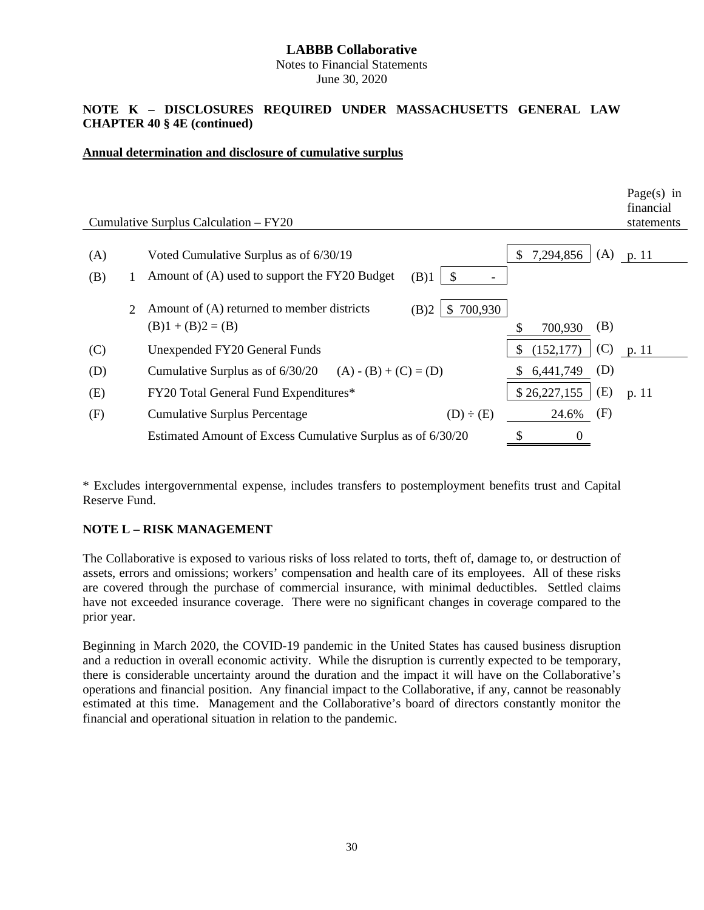Notes to Financial Statements June 30, 2020

## **NOTE K – DISCLOSURES REQUIRED UNDER MASSACHUSETTS GENERAL LAW CHAPTER 40 § 4E (continued)**

#### **Annual determination and disclosure of cumulative surplus**

|                             | Cumulative Surplus Calculation – FY20                                                    |                     | Page(s) in<br>financial<br>statements |
|-----------------------------|------------------------------------------------------------------------------------------|---------------------|---------------------------------------|
|                             |                                                                                          |                     |                                       |
| (A)                         | Voted Cumulative Surplus as of 6/30/19                                                   | 7,294,856<br>\$     | $(A)$ p. 11                           |
| (B)                         | Amount of (A) used to support the FY20 Budget<br>(B)1<br>\$.<br>$\overline{\phantom{a}}$ |                     |                                       |
| $\mathcal{D}_{\mathcal{L}}$ | Amount of (A) returned to member districts<br>700,930<br>(B)2<br>\$                      |                     |                                       |
|                             | $(B)1 + (B)2 = (B)$                                                                      | (B)<br>700,930      |                                       |
| (C)                         | Unexpended FY20 General Funds                                                            | (152, 177)<br>(C)   | p. 11                                 |
| (D)                         | Cumulative Surplus as of $6/30/20$ (A) - (B) + (C) = (D)                                 | (D)<br>6,441,749    |                                       |
| (E)                         | FY20 Total General Fund Expenditures*                                                    | (E)<br>\$26,227,155 | p. 11                                 |
| (F)                         | <b>Cumulative Surplus Percentage</b><br>$(D) \div (E)$                                   | (F)<br>24.6%        |                                       |
|                             | Estimated Amount of Excess Cumulative Surplus as of 6/30/20                              |                     |                                       |
|                             |                                                                                          |                     |                                       |

 $\mathbf{P}$  in the set of  $\mathbf{P}$ 

\* Excludes intergovernmental expense, includes transfers to postemployment benefits trust and Capital Reserve Fund.

# **NOTE L – RISK MANAGEMENT**

The Collaborative is exposed to various risks of loss related to torts, theft of, damage to, or destruction of assets, errors and omissions; workers' compensation and health care of its employees. All of these risks are covered through the purchase of commercial insurance, with minimal deductibles. Settled claims have not exceeded insurance coverage. There were no significant changes in coverage compared to the prior year.

Beginning in March 2020, the COVID-19 pandemic in the United States has caused business disruption and a reduction in overall economic activity. While the disruption is currently expected to be temporary, there is considerable uncertainty around the duration and the impact it will have on the Collaborative's operations and financial position. Any financial impact to the Collaborative, if any, cannot be reasonably estimated at this time. Management and the Collaborative's board of directors constantly monitor the financial and operational situation in relation to the pandemic.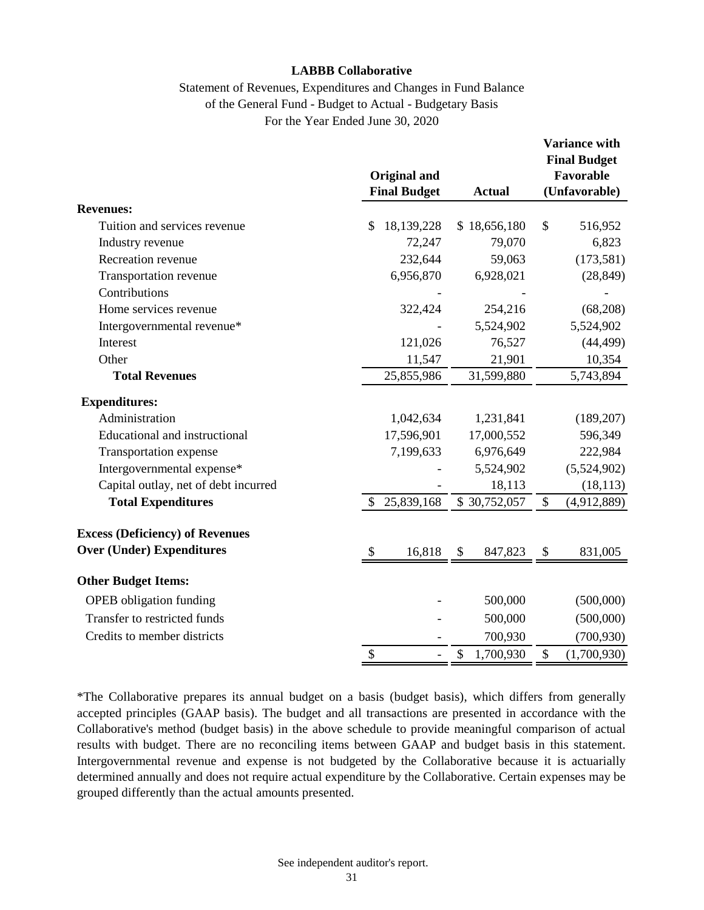# Statement of Revenues, Expenditures and Changes in Fund Balance of the General Fund - Budget to Actual - Budgetary Basis For the Year Ended June 30, 2020

|                                        |                           |                                            |                 |       | Variance with<br><b>Final Budget</b> |
|----------------------------------------|---------------------------|--------------------------------------------|-----------------|-------|--------------------------------------|
|                                        |                           | <b>Original and</b><br><b>Final Budget</b> | <b>Actual</b>   |       | Favorable<br>(Unfavorable)           |
| <b>Revenues:</b>                       |                           |                                            |                 |       |                                      |
| Tuition and services revenue           | \$                        | 18,139,228                                 | \$18,656,180    | \$    | 516,952                              |
| Industry revenue                       |                           | 72,247                                     | 79,070          |       | 6,823                                |
| Recreation revenue                     |                           | 232,644                                    | 59,063          |       | (173, 581)                           |
| Transportation revenue                 |                           | 6,956,870                                  | 6,928,021       |       | (28, 849)                            |
| Contributions                          |                           |                                            |                 |       |                                      |
| Home services revenue                  |                           | 322,424                                    | 254,216         |       | (68,208)                             |
| Intergovernmental revenue*             |                           |                                            | 5,524,902       |       | 5,524,902                            |
| Interest                               |                           | 121,026                                    | 76,527          |       | (44, 499)                            |
| Other                                  |                           | 11,547                                     | 21,901          |       | 10,354                               |
| <b>Total Revenues</b>                  |                           | 25,855,986                                 | 31,599,880      |       | 5,743,894                            |
| <b>Expenditures:</b>                   |                           |                                            |                 |       |                                      |
| Administration                         |                           | 1,042,634                                  | 1,231,841       |       | (189, 207)                           |
| Educational and instructional          |                           | 17,596,901                                 | 17,000,552      |       | 596,349                              |
| Transportation expense                 |                           | 7,199,633                                  | 6,976,649       |       | 222,984                              |
| Intergovernmental expense*             |                           |                                            | 5,524,902       |       | (5,524,902)                          |
| Capital outlay, net of debt incurred   |                           |                                            | 18,113          |       | (18, 113)                            |
| <b>Total Expenditures</b>              | \$                        | 25,839,168                                 | \$30,752,057    | \$    | (4,912,889)                          |
| <b>Excess (Deficiency) of Revenues</b> |                           |                                            |                 |       |                                      |
| <b>Over (Under) Expenditures</b>       | $\boldsymbol{\mathsf{S}}$ | 16,818                                     | \$<br>847,823   | \$    | 831,005                              |
| <b>Other Budget Items:</b>             |                           |                                            |                 |       |                                      |
| <b>OPEB</b> obligation funding         |                           |                                            | 500,000         |       | (500,000)                            |
| Transfer to restricted funds           |                           |                                            | 500,000         |       | (500,000)                            |
| Credits to member districts            |                           |                                            | 700,930         |       | (700, 930)                           |
|                                        | \$                        | $\frac{1}{2}$                              | \$<br>1,700,930 | $\$\$ | (1,700,930)                          |

\*The Collaborative prepares its annual budget on a basis (budget basis), which differs from generally accepted principles (GAAP basis). The budget and all transactions are presented in accordance with the Collaborative's method (budget basis) in the above schedule to provide meaningful comparison of actual results with budget. There are no reconciling items between GAAP and budget basis in this statement. Intergovernmental revenue and expense is not budgeted by the Collaborative because it is actuarially determined annually and does not require actual expenditure by the Collaborative. Certain expenses may be grouped differently than the actual amounts presented.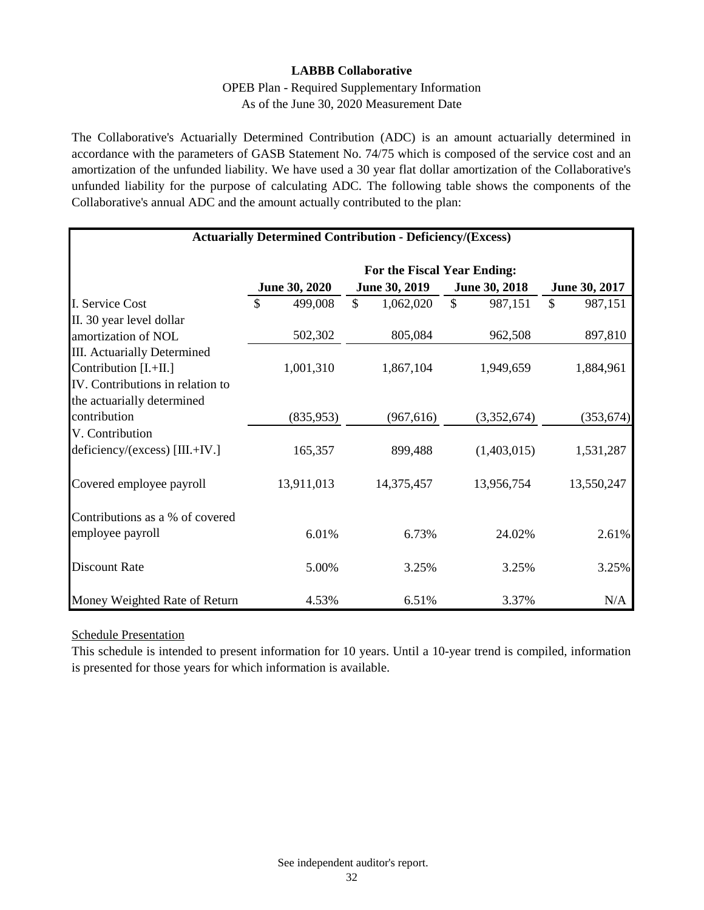# OPEB Plan - Required Supplementary Information As of the June 30, 2020 Measurement Date

The Collaborative's Actuarially Determined Contribution (ADC) is an amount actuarially determined in accordance with the parameters of GASB Statement No. 74/75 which is composed of the service cost and an amortization of the unfunded liability. We have used a 30 year flat dollar amortization of the Collaborative's unfunded liability for the purpose of calculating ADC. The following table shows the components of the Collaborative's annual ADC and the amount actually contributed to the plan:

| <b>Actuarially Determined Contribution - Deficiency/(Excess)</b> |                             |                 |                          |                          |  |  |  |  |  |  |
|------------------------------------------------------------------|-----------------------------|-----------------|--------------------------|--------------------------|--|--|--|--|--|--|
|                                                                  | For the Fiscal Year Ending: |                 |                          |                          |  |  |  |  |  |  |
|                                                                  | <b>June 30, 2020</b>        | June 30, 2019   | June 30, 2018            | June 30, 2017            |  |  |  |  |  |  |
| I. Service Cost                                                  | 499,008<br>\$               | \$<br>1,062,020 | $\mathcal{S}$<br>987,151 | $\mathcal{S}$<br>987,151 |  |  |  |  |  |  |
| II. 30 year level dollar                                         |                             |                 |                          |                          |  |  |  |  |  |  |
| amortization of NOL                                              | 502,302                     | 805,084         | 962,508                  | 897,810                  |  |  |  |  |  |  |
| III. Actuarially Determined                                      |                             |                 |                          |                          |  |  |  |  |  |  |
| Contribution [I.+II.]                                            | 1,001,310                   | 1,867,104       | 1,949,659                | 1,884,961                |  |  |  |  |  |  |
| IV. Contributions in relation to                                 |                             |                 |                          |                          |  |  |  |  |  |  |
| the actuarially determined                                       |                             |                 |                          |                          |  |  |  |  |  |  |
| contribution                                                     | (835,953)                   | (967, 616)      | (3,352,674)              | (353, 674)               |  |  |  |  |  |  |
| V. Contribution                                                  |                             |                 |                          |                          |  |  |  |  |  |  |
| deficiency/(excess) [III.+IV.]                                   | 165,357                     | 899,488         | (1,403,015)              | 1,531,287                |  |  |  |  |  |  |
| Covered employee payroll                                         | 13,911,013                  | 14,375,457      | 13,956,754               | 13,550,247               |  |  |  |  |  |  |
| Contributions as a % of covered                                  |                             |                 |                          |                          |  |  |  |  |  |  |
| employee payroll                                                 | 6.01%                       | 6.73%           | 24.02%                   | 2.61%                    |  |  |  |  |  |  |
| <b>Discount Rate</b>                                             | 5.00%                       | 3.25%           | 3.25%                    | 3.25%                    |  |  |  |  |  |  |
| Money Weighted Rate of Return                                    | 4.53%                       | 6.51%           | 3.37%                    | N/A                      |  |  |  |  |  |  |

# Schedule Presentation

This schedule is intended to present information for 10 years. Until a 10-year trend is compiled, information is presented for those years for which information is available.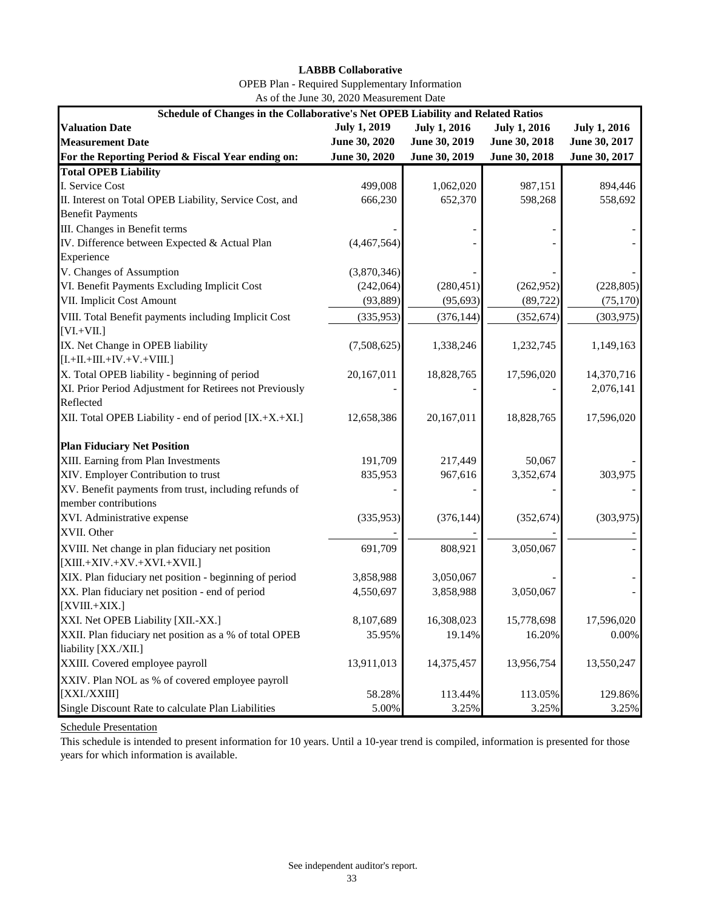| <b>OPEB</b> Plan - Required Supplementary Information |
|-------------------------------------------------------|
| As of the June 30, 2020 Measurement Date              |

| Schedule of Changes in the Collaborative's Net OPEB Liability and Related Ratios |                     |                     |                     |                     |  |  |  |  |  |  |
|----------------------------------------------------------------------------------|---------------------|---------------------|---------------------|---------------------|--|--|--|--|--|--|
| <b>Valuation Date</b>                                                            | <b>July 1, 2019</b> | <b>July 1, 2016</b> | <b>July 1, 2016</b> | <b>July 1, 2016</b> |  |  |  |  |  |  |
| <b>Measurement Date</b>                                                          | June 30, 2020       | June 30, 2019       | June 30, 2018       | June 30, 2017       |  |  |  |  |  |  |
| For the Reporting Period & Fiscal Year ending on:                                | June 30, 2020       | June 30, 2019       | June 30, 2018       | June 30, 2017       |  |  |  |  |  |  |
| <b>Total OPEB Liability</b>                                                      |                     |                     |                     |                     |  |  |  |  |  |  |
| I. Service Cost                                                                  | 499,008             | 1,062,020           | 987,151             | 894,446             |  |  |  |  |  |  |
| II. Interest on Total OPEB Liability, Service Cost, and                          | 666,230             | 652,370             | 598,268             | 558,692             |  |  |  |  |  |  |
| <b>Benefit Payments</b>                                                          |                     |                     |                     |                     |  |  |  |  |  |  |
| III. Changes in Benefit terms                                                    |                     |                     |                     |                     |  |  |  |  |  |  |
| IV. Difference between Expected & Actual Plan                                    | (4,467,564)         |                     |                     |                     |  |  |  |  |  |  |
| Experience                                                                       |                     |                     |                     |                     |  |  |  |  |  |  |
| V. Changes of Assumption                                                         | (3,870,346)         |                     |                     |                     |  |  |  |  |  |  |
| VI. Benefit Payments Excluding Implicit Cost                                     | (242,064)           | (280, 451)          | (262, 952)          | (228, 805)          |  |  |  |  |  |  |
| VII. Implicit Cost Amount                                                        | (93, 889)           | (95, 693)           | (89, 722)           | (75, 170)           |  |  |  |  |  |  |
| VIII. Total Benefit payments including Implicit Cost                             | (335,953)           | (376, 144)          | (352, 674)          | (303, 975)          |  |  |  |  |  |  |
| $[VI.+VII.]$                                                                     |                     |                     |                     |                     |  |  |  |  |  |  |
| IX. Net Change in OPEB liability                                                 | (7,508,625)         | 1,338,246           | 1,232,745           | 1,149,163           |  |  |  |  |  |  |
| $[I.+II.+III.+IV.+V.+VIII.]$                                                     |                     |                     |                     |                     |  |  |  |  |  |  |
| X. Total OPEB liability - beginning of period                                    | 20,167,011          | 18,828,765          | 17,596,020          | 14,370,716          |  |  |  |  |  |  |
| XI. Prior Period Adjustment for Retirees not Previously                          |                     |                     |                     | 2,076,141           |  |  |  |  |  |  |
| Reflected                                                                        |                     |                     |                     |                     |  |  |  |  |  |  |
| XII. Total OPEB Liability - end of period [IX.+X.+XI.]                           | 12,658,386          | 20,167,011          | 18,828,765          | 17,596,020          |  |  |  |  |  |  |
| <b>Plan Fiduciary Net Position</b>                                               |                     |                     |                     |                     |  |  |  |  |  |  |
| XIII. Earning from Plan Investments                                              | 191,709             | 217,449             | 50,067              |                     |  |  |  |  |  |  |
| XIV. Employer Contribution to trust                                              | 835,953             | 967,616             | 3,352,674           | 303,975             |  |  |  |  |  |  |
| XV. Benefit payments from trust, including refunds of                            |                     |                     |                     |                     |  |  |  |  |  |  |
| member contributions                                                             |                     |                     |                     |                     |  |  |  |  |  |  |
| XVI. Administrative expense                                                      | (335,953)           | (376, 144)          | (352, 674)          | (303, 975)          |  |  |  |  |  |  |
| XVII. Other                                                                      |                     |                     |                     |                     |  |  |  |  |  |  |
| XVIII. Net change in plan fiduciary net position                                 | 691,709             | 808,921             | 3,050,067           |                     |  |  |  |  |  |  |
| $[XIII.+XIV.+XV.+XVI.+XVII.]$                                                    |                     |                     |                     |                     |  |  |  |  |  |  |
| XIX. Plan fiduciary net position - beginning of period                           | 3,858,988           | 3,050,067           |                     |                     |  |  |  |  |  |  |
| XX. Plan fiduciary net position - end of period                                  | 4,550,697           | 3,858,988           | 3,050,067           |                     |  |  |  |  |  |  |
| $[XVIII.+XIX.]$                                                                  |                     |                     |                     |                     |  |  |  |  |  |  |
| XXI. Net OPEB Liability [XII.-XX.]                                               | 8,107,689           | 16,308,023          | 15,778,698          | 17,596,020          |  |  |  |  |  |  |
| XXII. Plan fiduciary net position as a % of total OPEB                           | 35.95%              | 19.14%              | 16.20%              | 0.00%               |  |  |  |  |  |  |
| liability [XX./XII.]                                                             |                     |                     |                     |                     |  |  |  |  |  |  |
| XXIII. Covered employee payroll                                                  | 13,911,013          | 14,375,457          | 13,956,754          | 13,550,247          |  |  |  |  |  |  |
| XXIV. Plan NOL as % of covered employee payroll                                  |                     |                     |                     |                     |  |  |  |  |  |  |
| [XXI. /XXIII]                                                                    | 58.28%              | 113.44%             | 113.05%             | 129.86%             |  |  |  |  |  |  |
| Single Discount Rate to calculate Plan Liabilities                               | 5.00%               | 3.25%               | 3.25%               | 3.25%               |  |  |  |  |  |  |

Schedule Presentation

This schedule is intended to present information for 10 years. Until a 10-year trend is compiled, information is presented for those years for which information is available.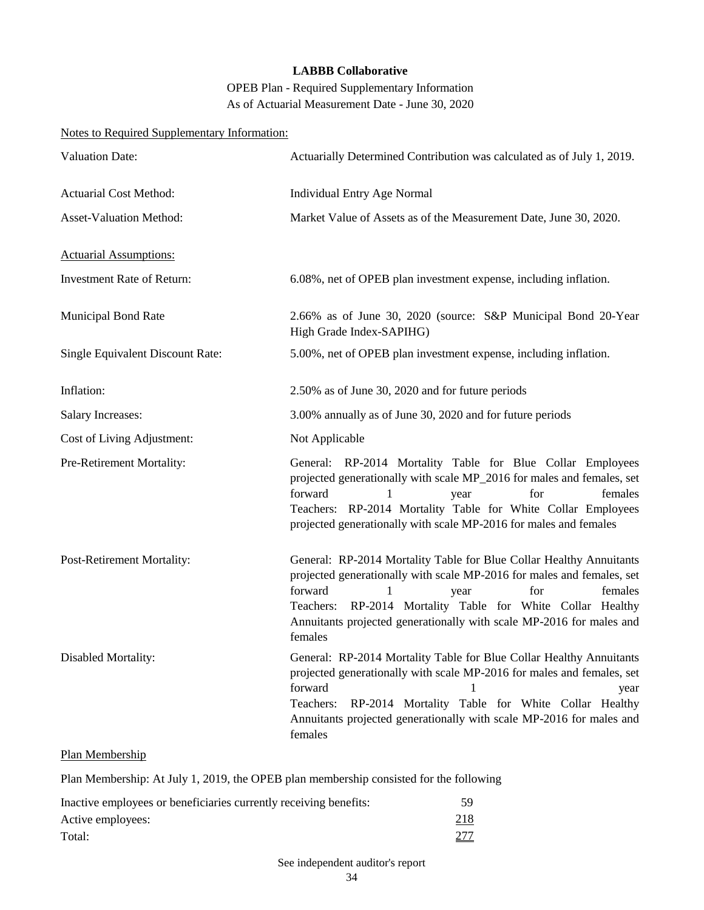OPEB Plan - Required Supplementary Information As of Actuarial Measurement Date - June 30, 2020

# Notes to Required Supplementary Information:

| <b>Valuation Date:</b>            | Actuarially Determined Contribution was calculated as of July 1, 2019.                                                                                                                                                                                                                                                                   |  |  |  |  |  |  |
|-----------------------------------|------------------------------------------------------------------------------------------------------------------------------------------------------------------------------------------------------------------------------------------------------------------------------------------------------------------------------------------|--|--|--|--|--|--|
| <b>Actuarial Cost Method:</b>     | <b>Individual Entry Age Normal</b>                                                                                                                                                                                                                                                                                                       |  |  |  |  |  |  |
| Asset-Valuation Method:           | Market Value of Assets as of the Measurement Date, June 30, 2020.                                                                                                                                                                                                                                                                        |  |  |  |  |  |  |
| <b>Actuarial Assumptions:</b>     |                                                                                                                                                                                                                                                                                                                                          |  |  |  |  |  |  |
| <b>Investment Rate of Return:</b> | 6.08%, net of OPEB plan investment expense, including inflation.                                                                                                                                                                                                                                                                         |  |  |  |  |  |  |
| <b>Municipal Bond Rate</b>        | 2.66% as of June 30, 2020 (source: S&P Municipal Bond 20-Year<br>High Grade Index-SAPIHG)                                                                                                                                                                                                                                                |  |  |  |  |  |  |
| Single Equivalent Discount Rate:  | 5.00%, net of OPEB plan investment expense, including inflation.                                                                                                                                                                                                                                                                         |  |  |  |  |  |  |
| Inflation:                        | 2.50% as of June 30, 2020 and for future periods                                                                                                                                                                                                                                                                                         |  |  |  |  |  |  |
| <b>Salary Increases:</b>          | 3.00% annually as of June 30, 2020 and for future periods                                                                                                                                                                                                                                                                                |  |  |  |  |  |  |
| Cost of Living Adjustment:        | Not Applicable                                                                                                                                                                                                                                                                                                                           |  |  |  |  |  |  |
| Pre-Retirement Mortality:         | General: RP-2014 Mortality Table for Blue Collar Employees<br>projected generationally with scale MP_2016 for males and females, set<br>forward<br>females<br>1<br>for<br>year<br>Teachers: RP-2014 Mortality Table for White Collar Employees<br>projected generationally with scale MP-2016 for males and females                      |  |  |  |  |  |  |
| Post-Retirement Mortality:        | General: RP-2014 Mortality Table for Blue Collar Healthy Annuitants<br>projected generationally with scale MP-2016 for males and females, set<br>forward<br>1<br>for<br>females<br>year<br>Teachers: RP-2014 Mortality Table for White Collar Healthy<br>Annuitants projected generationally with scale MP-2016 for males and<br>females |  |  |  |  |  |  |
| Disabled Mortality:               | General: RP-2014 Mortality Table for Blue Collar Healthy Annuitants<br>projected generationally with scale MP-2016 for males and females, set<br>forward<br>1<br>year<br>RP-2014 Mortality Table for White Collar Healthy<br>Teachers:<br>Annuitants projected generationally with scale MP-2016 for males and<br>females                |  |  |  |  |  |  |

### Plan Membership

Plan Membership: At July 1, 2019, the OPEB plan membership consisted for the following

| Inactive employees or beneficiaries currently receiving benefits: | 59          |
|-------------------------------------------------------------------|-------------|
| Active employees:                                                 | <u>218</u>  |
| Total:                                                            | <u> 277</u> |

### See independent auditor's report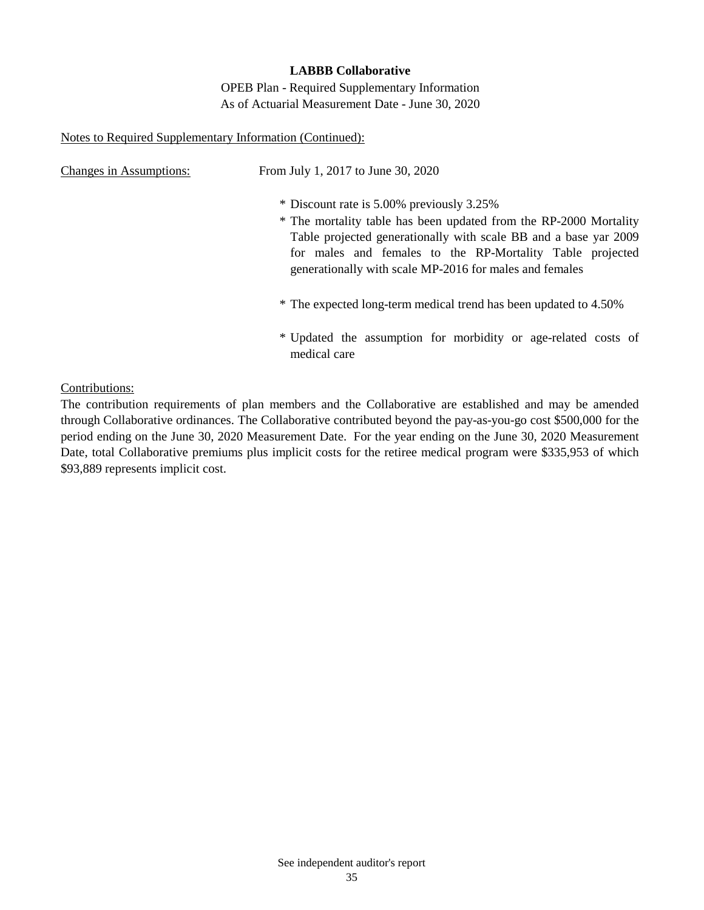OPEB Plan - Required Supplementary Information As of Actuarial Measurement Date - June 30, 2020

### Notes to Required Supplementary Information (Continued):

| <b>Changes in Assumptions:</b>                                   | From July 1, 2017 to June 30, 2020                                                                                                                                                                                                                                                                         |  |  |  |  |  |  |  |
|------------------------------------------------------------------|------------------------------------------------------------------------------------------------------------------------------------------------------------------------------------------------------------------------------------------------------------------------------------------------------------|--|--|--|--|--|--|--|
|                                                                  | * Discount rate is 5.00% previously 3.25%<br>* The mortality table has been updated from the RP-2000 Mortality<br>Table projected generationally with scale BB and a base yar 2009<br>for males and females to the RP-Mortality Table projected<br>generationally with scale MP-2016 for males and females |  |  |  |  |  |  |  |
| * The expected long-term medical trend has been updated to 4.50% |                                                                                                                                                                                                                                                                                                            |  |  |  |  |  |  |  |
|                                                                  | * Updated the assumption for morbidity or age-related costs of<br>medical care                                                                                                                                                                                                                             |  |  |  |  |  |  |  |

Contributions:

The contribution requirements of plan members and the Collaborative are established and may be amended through Collaborative ordinances. The Collaborative contributed beyond the pay-as-you-go cost \$500,000 for the period ending on the June 30, 2020 Measurement Date. For the year ending on the June 30, 2020 Measurement Date, total Collaborative premiums plus implicit costs for the retiree medical program were \$335,953 of which \$93,889 represents implicit cost.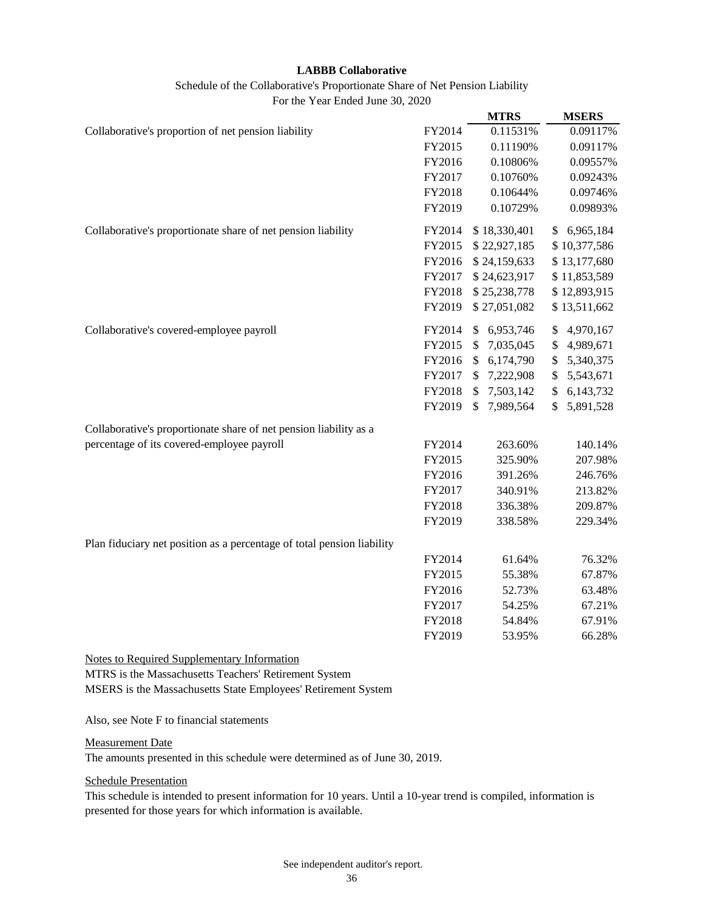| Schedule of the Collaborative's Proportionate Share of Net Pension Liability |
|------------------------------------------------------------------------------|
| For the Year Ended June 30, 2020                                             |

|                                                                        |        | <b>MTRS</b>                | <b>MSERS</b>    |
|------------------------------------------------------------------------|--------|----------------------------|-----------------|
| Collaborative's proportion of net pension liability                    | FY2014 | 0.11531%                   | 0.09117%        |
|                                                                        | FY2015 | 0.11190%                   | 0.09117%        |
|                                                                        | FY2016 | 0.10806%                   | 0.09557%        |
|                                                                        | FY2017 | 0.10760%                   | 0.09243%        |
|                                                                        | FY2018 | 0.10644%                   | 0.09746%        |
|                                                                        | FY2019 | 0.10729%                   | 0.09893%        |
| Collaborative's proportionate share of net pension liability           | FY2014 | \$18,330,401               | \$6,965,184     |
|                                                                        | FY2015 | \$22,927,185               | \$10,377,586    |
|                                                                        | FY2016 | \$24,159,633               | \$13,177,680    |
|                                                                        | FY2017 | \$24,623,917               | \$11,853,589    |
|                                                                        | FY2018 | \$25,238,778               | \$12,893,915    |
|                                                                        | FY2019 | \$27,051,082               | \$13,511,662    |
| Collaborative's covered-employee payroll                               | FY2014 | \$6,953,746                | 4,970,167<br>\$ |
|                                                                        | FY2015 | 7,035,045<br>\$            | 4,989,671<br>\$ |
|                                                                        | FY2016 | 6,174,790<br>$\mathcal{S}$ | 5,340,375<br>\$ |
|                                                                        | FY2017 | 7,222,908<br>\$            | 5,543,671<br>\$ |
|                                                                        | FY2018 | 7,503,142<br>\$            | 6,143,732<br>\$ |
|                                                                        | FY2019 | 7,989,564<br>\$            | 5,891,528<br>\$ |
| Collaborative's proportionate share of net pension liability as a      |        |                            |                 |
| percentage of its covered-employee payroll                             | FY2014 | 263.60%                    | 140.14%         |
|                                                                        | FY2015 | 325.90%                    | 207.98%         |
|                                                                        | FY2016 | 391.26%                    | 246.76%         |
|                                                                        | FY2017 | 340.91%                    | 213.82%         |
|                                                                        | FY2018 | 336.38%                    | 209.87%         |
|                                                                        | FY2019 | 338.58%                    | 229.34%         |
| Plan fiduciary net position as a percentage of total pension liability |        |                            |                 |
|                                                                        | FY2014 | 61.64%                     | 76.32%          |
|                                                                        | FY2015 | 55.38%                     | 67.87%          |
|                                                                        | FY2016 | 52.73%                     | 63.48%          |
|                                                                        | FY2017 | 54.25%                     | 67.21%          |
|                                                                        | FY2018 | 54.84%                     | 67.91%          |
|                                                                        | FY2019 | 53.95%                     | 66.28%          |
| <b>Notes to Required Supplementary Information</b>                     |        |                            |                 |

MTRS is the Massachusetts Teachers' Retirement System MSERS is the Massachusetts State Employees' Retirement System

Also, see Note F to financial statements

#### Measurement Date

The amounts presented in this schedule were determined as of June 30, 2019.

#### Schedule Presentation

This schedule is intended to present information for 10 years. Until a 10-year trend is compiled, information is presented for those years for which information is available.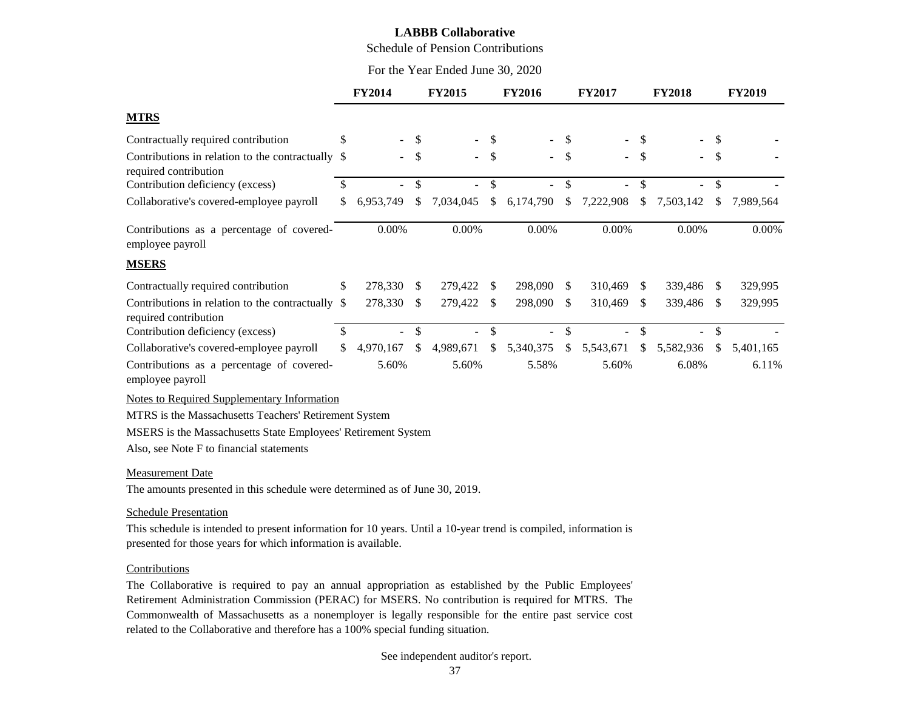Schedule of Pension Contributions

For the Year Ended June 30, 2020

|                                                                                                             |               | <b>FY2014</b>            |               | <b>FY2015</b>            |               | <b>FY2016</b>  |               | <b>FY2017</b>            |                           | <b>FY2018</b>            |               | <b>FY2019</b> |
|-------------------------------------------------------------------------------------------------------------|---------------|--------------------------|---------------|--------------------------|---------------|----------------|---------------|--------------------------|---------------------------|--------------------------|---------------|---------------|
| <b>MTRS</b>                                                                                                 |               |                          |               |                          |               |                |               |                          |                           |                          |               |               |
| Contractually required contribution                                                                         | S             |                          | \$            |                          | S             |                | <sup>\$</sup> |                          | S                         |                          | S             |               |
| Contributions in relation to the contractually \$<br>required contribution                                  |               | $\blacksquare$           | \$            | $\blacksquare$           | \$            |                | - \$          | $\sim$ .                 | $\boldsymbol{\mathsf{S}}$ | $\blacksquare$           | \$            |               |
| Contribution deficiency (excess)                                                                            | <sup>\$</sup> |                          | $\mathcal{S}$ |                          | \$            |                | \$            |                          | \$                        |                          | $\mathbb{S}$  |               |
| Collaborative's covered-employee payroll                                                                    | \$            | 6,953,749                | \$            | 7,034,045                | \$            | 6,174,790      | \$            | 7,222,908                | \$                        | 7,503,142                | \$            | 7,989,564     |
| Contributions as a percentage of covered-<br>employee payroll                                               |               | 0.00%                    |               | 0.00%                    |               | 0.00%          |               | 0.00%                    |                           | 0.00%                    |               | 0.00%         |
| <b>MSERS</b>                                                                                                |               |                          |               |                          |               |                |               |                          |                           |                          |               |               |
| Contractually required contribution                                                                         | \$            | 278,330                  | \$            | 279,422                  | <sup>\$</sup> | 298,090        | <sup>\$</sup> | 310,469                  | <sup>\$</sup>             | 339,486                  | S.            | 329,995       |
| Contributions in relation to the contractually \$<br>required contribution                                  |               | 278,330                  | \$            | 279,422                  | <sup>\$</sup> | 298,090        | -S            | 310,469                  | <sup>\$</sup>             | 339,486                  | <sup>\$</sup> | 329,995       |
| Contribution deficiency (excess)                                                                            | \$            | $\overline{\phantom{a}}$ | \$            | $\overline{\phantom{a}}$ | \$            | $\blacksquare$ | \$            | $\overline{\phantom{a}}$ | \$                        | $\overline{\phantom{a}}$ | \$            |               |
| Collaborative's covered-employee payroll                                                                    | \$            | 4,970,167                | \$            | 4,989,671                | \$            | 5,340,375      | \$            | 5,543,671                | \$                        | 5,582,936                | \$            | 5,401,165     |
| Contributions as a percentage of covered-<br>employee payroll                                               |               | 5.60%                    |               | 5.60%                    |               | 5.58%          |               | 5.60%                    |                           | 6.08%                    |               | 6.11%         |
| <b>Notes to Required Supplementary Information</b><br>MTRS is the Massachusetts Teachers' Retirement System |               |                          |               |                          |               |                |               |                          |                           |                          |               |               |
| MSERS is the Massachusetts State Employees' Retirement System                                               |               |                          |               |                          |               |                |               |                          |                           |                          |               |               |
| Also, see Note F to financial statements                                                                    |               |                          |               |                          |               |                |               |                          |                           |                          |               |               |
| <b>Measurement Date</b>                                                                                     |               |                          |               |                          |               |                |               |                          |                           |                          |               |               |
| The amounts presented in this schedule were determined as of June 30, 2019.                                 |               |                          |               |                          |               |                |               |                          |                           |                          |               |               |
| <b>Schedule Presentation</b>                                                                                |               |                          |               |                          |               |                |               |                          |                           |                          |               |               |

This schedule is intended to present information for 10 years. Until a 10-year trend is compiled, information is presented for those years for which information is available.

#### **Contributions**

The Collaborative is required to pay an annual appropriation as established by the Public Employees' Retirement Administration Commission (PERAC) for MSERS. No contribution is required for MTRS. The Commonwealth of Massachusetts as a nonemployer is legally responsible for the entire past service cost related to the Collaborative and therefore has a 100% special funding situation.

#### See independent auditor's report.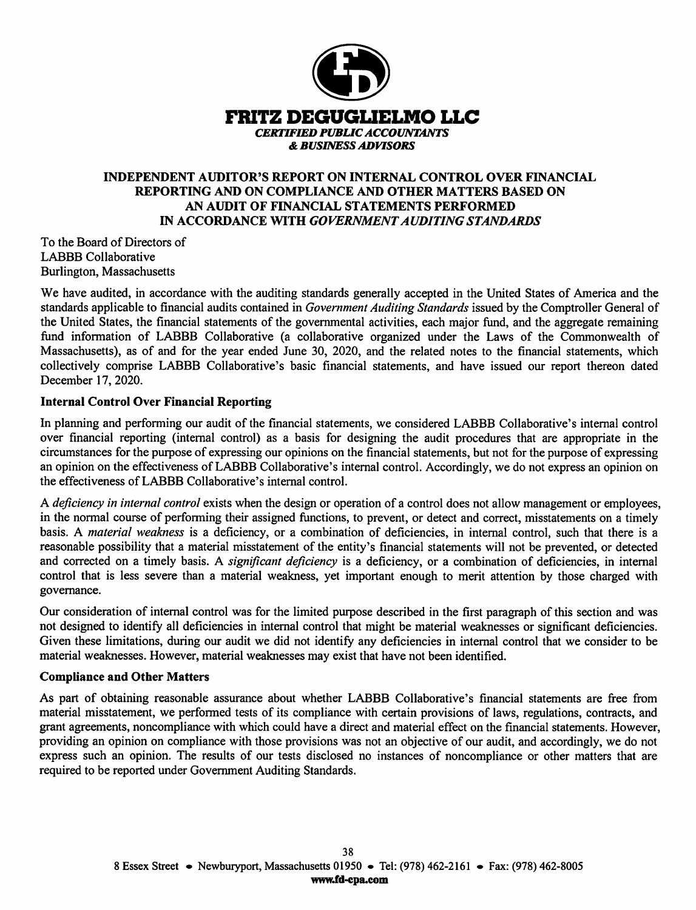

# **INDEPENDENT AUDITOR'S REPORT ON INTERNAL CONTROL OVER FINANCIAL** REPORTING AND ON COMPLIANCE AND OTHER MATTERS BASED ON AN AUDIT OF FINANCIAL STATEMENTS PERFORMED IN ACCORDANCE WITH GOVERNMENT AUDITING STANDARDS

To the Board of Directors of **LABBB** Collaborative Burlington, Massachusetts

We have audited, in accordance with the auditing standards generally accepted in the United States of America and the standards applicable to financial audits contained in Government Auditing Standards issued by the Comptroller General of the United States, the financial statements of the governmental activities, each major fund, and the aggregate remaining fund information of LABBB Collaborative (a collaborative organized under the Laws of the Commonwealth of Massachusetts), as of and for the year ended June 30, 2020, and the related notes to the financial statements, which collectively comprise LABBB Collaborative's basic financial statements, and have issued our report thereon dated December 17, 2020.

## **Internal Control Over Financial Reporting**

In planning and performing our audit of the financial statements, we considered LABBB Collaborative's internal control over financial reporting (internal control) as a basis for designing the audit procedures that are appropriate in the circumstances for the purpose of expressing our opinions on the financial statements, but not for the purpose of expressing an opinion on the effectiveness of LABBB Collaborative's internal control. Accordingly, we do not express an opinion on the effectiveness of LABBB Collaborative's internal control.

A *deficiency in internal control* exists when the design or operation of a control does not allow management or employees, in the normal course of performing their assigned functions, to prevent, or detect and correct, misstatements on a timely basis. A material weakness is a deficiency, or a combination of deficiencies, in internal control, such that there is a reasonable possibility that a material misstatement of the entity's financial statements will not be prevented, or detected and corrected on a timely basis. A significant deficiency is a deficiency, or a combination of deficiencies, in internal control that is less severe than a material weakness, yet important enough to merit attention by those charged with governance.

Our consideration of internal control was for the limited purpose described in the first paragraph of this section and was not designed to identify all deficiencies in internal control that might be material weaknesses or significant deficiencies. Given these limitations, during our audit we did not identify any deficiencies in internal control that we consider to be material weaknesses. However, material weaknesses may exist that have not been identified.

### **Compliance and Other Matters**

As part of obtaining reasonable assurance about whether LABBB Collaborative's financial statements are free from material misstatement, we performed tests of its compliance with certain provisions of laws, regulations, contracts, and grant agreements, noncompliance with which could have a direct and material effect on the financial statements. However, providing an opinion on compliance with those provisions was not an objective of our audit, and accordingly, we do not express such an opinion. The results of our tests disclosed no instances of noncompliance or other matters that are required to be reported under Government Auditing Standards.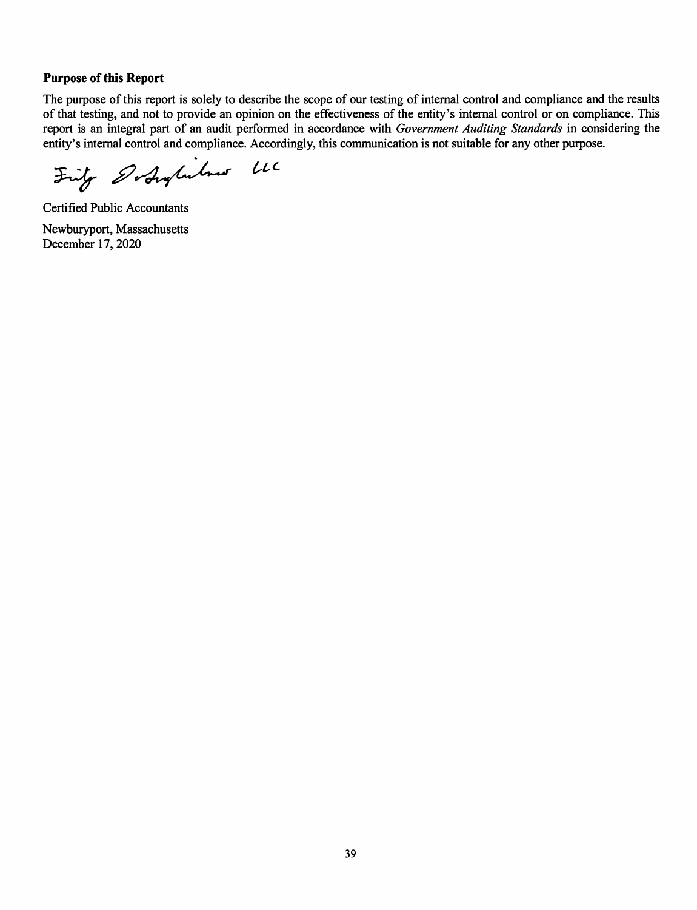### **Purpose of this Report**

The purpose of this report is solely to describe the scope of our testing of internal control and compliance and the results of that testing, and not to provide an opinion on the effectiveness of the entity's internal control or on compliance. This report is an integral part of an audit performed in accordance with Government Auditing Standards in considering the entity's internal control and compliance. Accordingly, this communication is not suitable for any other purpose.

Fritz Dodaylishus LLC

**Certified Public Accountants** Newburyport, Massachusetts December 17, 2020